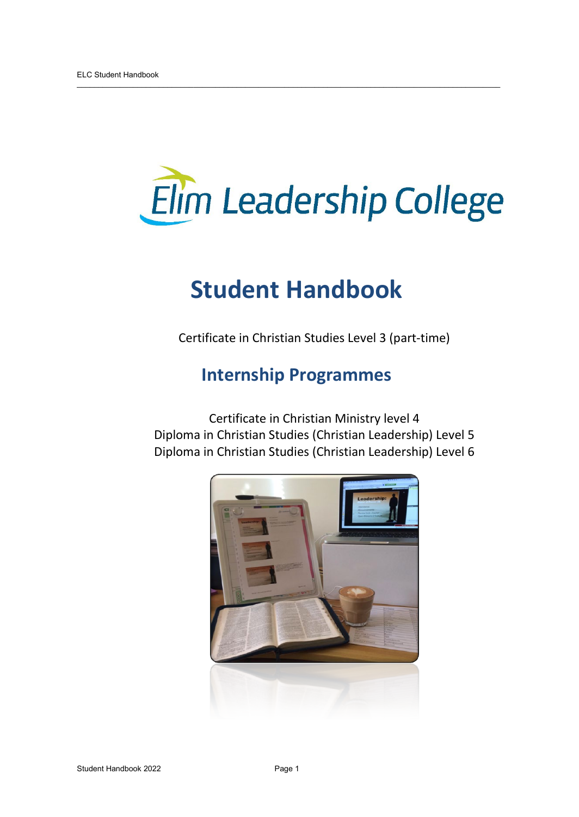

## **Student Handbook**

 $\overline{\phantom{a}}$  ,  $\overline{\phantom{a}}$  ,  $\overline{\phantom{a}}$  ,  $\overline{\phantom{a}}$  ,  $\overline{\phantom{a}}$  ,  $\overline{\phantom{a}}$  ,  $\overline{\phantom{a}}$  ,  $\overline{\phantom{a}}$  ,  $\overline{\phantom{a}}$  ,  $\overline{\phantom{a}}$  ,  $\overline{\phantom{a}}$  ,  $\overline{\phantom{a}}$  ,  $\overline{\phantom{a}}$  ,  $\overline{\phantom{a}}$  ,  $\overline{\phantom{a}}$  ,  $\overline{\phantom{a}}$ 

Certificate in Christian Studies Level 3 (part-time)

## **Internship Programmes**

Certificate in Christian Ministry level 4 Diploma in Christian Studies (Christian Leadership) Level 5 Diploma in Christian Studies (Christian Leadership) Level 6

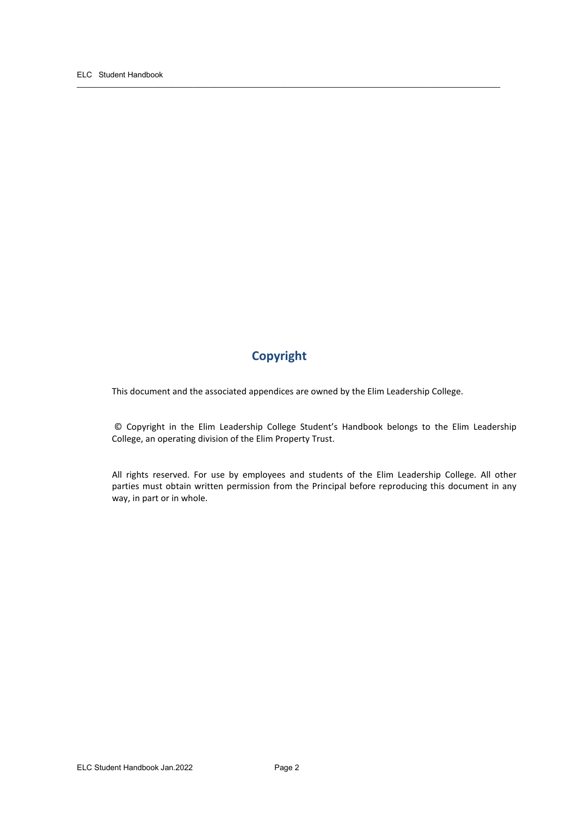## **Copyright**

This document and the associated appendices are owned by the Elim Leadership College.

 $\overline{\phantom{a}}$  ,  $\overline{\phantom{a}}$  ,  $\overline{\phantom{a}}$  ,  $\overline{\phantom{a}}$  ,  $\overline{\phantom{a}}$  ,  $\overline{\phantom{a}}$  ,  $\overline{\phantom{a}}$  ,  $\overline{\phantom{a}}$  ,  $\overline{\phantom{a}}$  ,  $\overline{\phantom{a}}$  ,  $\overline{\phantom{a}}$  ,  $\overline{\phantom{a}}$  ,  $\overline{\phantom{a}}$  ,  $\overline{\phantom{a}}$  ,  $\overline{\phantom{a}}$  ,  $\overline{\phantom{a}}$ 

© Copyright in the Elim Leadership College Student's Handbook belongs to the Elim Leadership College, an operating division of the Elim Property Trust.

All rights reserved. For use by employees and students of the Elim Leadership College. All other parties must obtain written permission from the Principal before reproducing this document in any way, in part or in whole.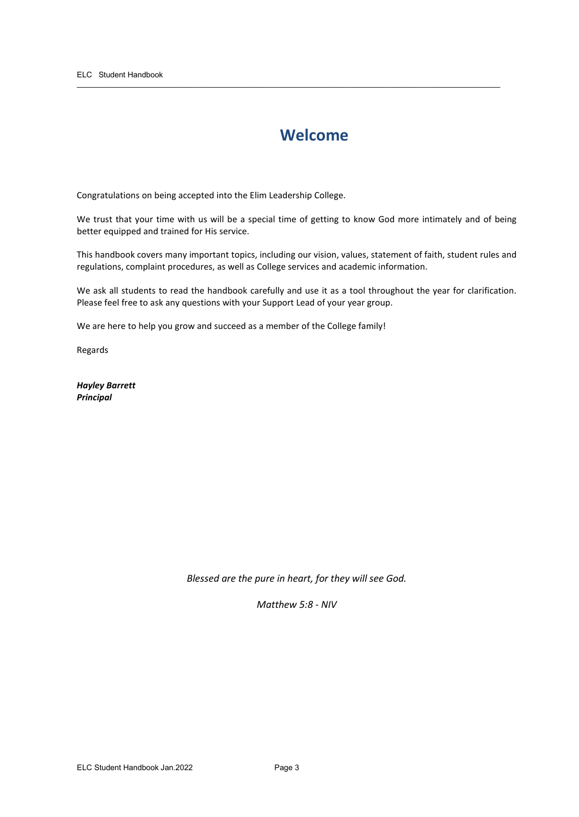## **Welcome**

 $\overline{\phantom{a}}$  ,  $\overline{\phantom{a}}$  ,  $\overline{\phantom{a}}$  ,  $\overline{\phantom{a}}$  ,  $\overline{\phantom{a}}$  ,  $\overline{\phantom{a}}$  ,  $\overline{\phantom{a}}$  ,  $\overline{\phantom{a}}$  ,  $\overline{\phantom{a}}$  ,  $\overline{\phantom{a}}$  ,  $\overline{\phantom{a}}$  ,  $\overline{\phantom{a}}$  ,  $\overline{\phantom{a}}$  ,  $\overline{\phantom{a}}$  ,  $\overline{\phantom{a}}$  ,  $\overline{\phantom{a}}$ 

Congratulations on being accepted into the Elim Leadership College.

We trust that your time with us will be a special time of getting to know God more intimately and of being better equipped and trained for His service.

This handbook covers many important topics, including our vision, values, statement of faith, student rules and regulations, complaint procedures, as well as College services and academic information.

We ask all students to read the handbook carefully and use it as a tool throughout the year for clarification. Please feel free to ask any questions with your Support Lead of your year group.

We are here to help you grow and succeed as a member of the College family!

Regards

*Hayley Barrett Principal*

*Blessed are the pure in heart, for they will see God.*

*Matthew 5:8 - NIV*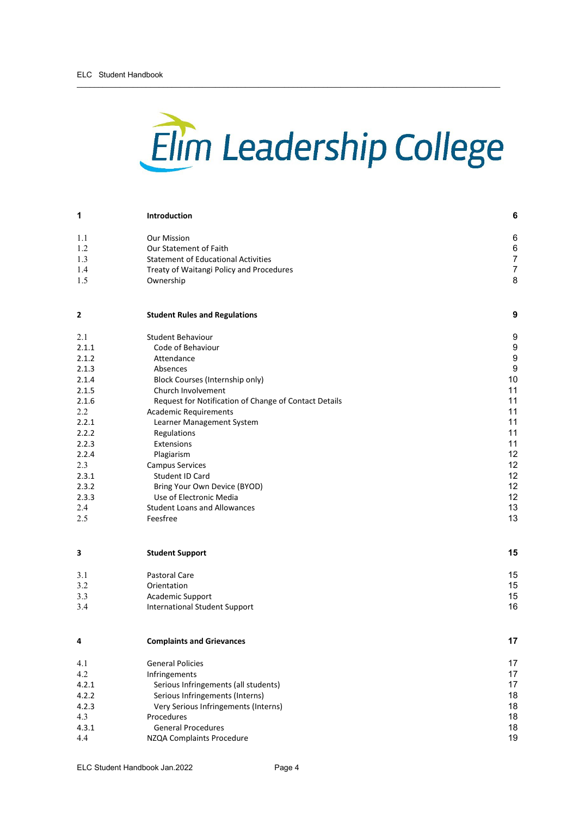# Elim Leadership College

 $\overline{\phantom{a}}$  ,  $\overline{\phantom{a}}$  ,  $\overline{\phantom{a}}$  ,  $\overline{\phantom{a}}$  ,  $\overline{\phantom{a}}$  ,  $\overline{\phantom{a}}$  ,  $\overline{\phantom{a}}$  ,  $\overline{\phantom{a}}$  ,  $\overline{\phantom{a}}$  ,  $\overline{\phantom{a}}$  ,  $\overline{\phantom{a}}$  ,  $\overline{\phantom{a}}$  ,  $\overline{\phantom{a}}$  ,  $\overline{\phantom{a}}$  ,  $\overline{\phantom{a}}$  ,  $\overline{\phantom{a}}$ 

| 1     | Introduction                                                                           | 6              |  |  |  |
|-------|----------------------------------------------------------------------------------------|----------------|--|--|--|
| 1.1   | <b>Our Mission</b>                                                                     | 6              |  |  |  |
| 1.2   | Our Statement of Faith                                                                 | $6\phantom{a}$ |  |  |  |
| 1.3   | <b>Statement of Educational Activities</b><br>Treaty of Waitangi Policy and Procedures |                |  |  |  |
| 1.4   |                                                                                        |                |  |  |  |
| 1.5   | Ownership                                                                              | 8              |  |  |  |
| 2     | <b>Student Rules and Regulations</b>                                                   | 9              |  |  |  |
| 2.1   | Student Behaviour                                                                      | 9              |  |  |  |
| 2.1.1 | Code of Behaviour                                                                      | 9              |  |  |  |
| 2.1.2 | Attendance                                                                             | 9              |  |  |  |
| 2.1.3 | Absences                                                                               | 9              |  |  |  |
| 2.1.4 | Block Courses (Internship only)                                                        | 10             |  |  |  |
| 2.1.5 | Church Involvement                                                                     | 11             |  |  |  |
| 2.1.6 | Request for Notification of Change of Contact Details                                  | 11             |  |  |  |
| 2.2   | <b>Academic Requirements</b>                                                           | 11             |  |  |  |
| 2.2.1 | Learner Management System                                                              | 11             |  |  |  |
| 2.2.2 | Regulations                                                                            | 11             |  |  |  |
| 2.2.3 | Extensions                                                                             | 11             |  |  |  |
| 2.2.4 | Plagiarism                                                                             | 12             |  |  |  |
| 2.3   | <b>Campus Services</b>                                                                 | 12             |  |  |  |
| 2.3.1 | Student ID Card                                                                        | 12             |  |  |  |
| 2.3.2 | Bring Your Own Device (BYOD)                                                           | 12             |  |  |  |
| 2.3.3 | Use of Electronic Media                                                                | 12             |  |  |  |
| 2.4   | <b>Student Loans and Allowances</b>                                                    | 13             |  |  |  |
| 2.5   | Feesfree                                                                               | 13             |  |  |  |
| 3     | <b>Student Support</b>                                                                 | 15             |  |  |  |
| 3.1   | <b>Pastoral Care</b>                                                                   | 15             |  |  |  |
| 3.2   | Orientation                                                                            | 15             |  |  |  |
| 3.3   | Academic Support                                                                       | 15             |  |  |  |
| 3.4   | <b>International Student Support</b>                                                   | 16             |  |  |  |
| 4     | <b>Complaints and Grievances</b>                                                       | 17             |  |  |  |
| 4.1   | <b>General Policies</b>                                                                | 17             |  |  |  |
| 4.2   | Infringements                                                                          | 17             |  |  |  |
| 4.2.1 | Serious Infringements (all students)                                                   | 17             |  |  |  |
| 4.2.2 | Serious Infringements (Interns)                                                        |                |  |  |  |
| 4.2.3 | Very Serious Infringements (Interns)                                                   | 18             |  |  |  |
| 4.3   | Procedures                                                                             |                |  |  |  |
| 4.3.1 | <b>General Procedures</b>                                                              |                |  |  |  |
| 4.4   | NZQA Complaints Procedure                                                              |                |  |  |  |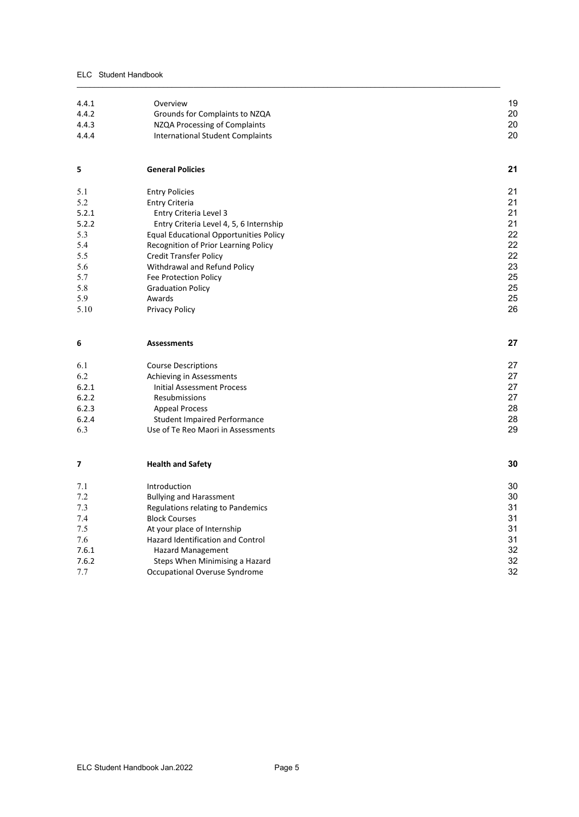#### ELC Student Handbook

| 4.4.1 |                                               |    |
|-------|-----------------------------------------------|----|
|       | Overview                                      | 19 |
| 4.4.2 | Grounds for Complaints to NZQA                | 20 |
| 4.4.3 | NZQA Processing of Complaints                 | 20 |
| 4.4.4 | <b>International Student Complaints</b>       | 20 |
|       |                                               |    |
| 5     | <b>General Policies</b>                       | 21 |
| 5.1   | <b>Entry Policies</b>                         | 21 |
| 5.2   | <b>Entry Criteria</b>                         | 21 |
| 5.2.1 | Entry Criteria Level 3                        | 21 |
| 5.2.2 | Entry Criteria Level 4, 5, 6 Internship       | 21 |
| 5.3   | <b>Equal Educational Opportunities Policy</b> | 22 |
| 5.4   | Recognition of Prior Learning Policy          | 22 |
| 5.5   | <b>Credit Transfer Policy</b>                 | 22 |
| 5.6   | Withdrawal and Refund Policy                  | 23 |
| 5.7   | Fee Protection Policy                         | 25 |
| 5.8   | <b>Graduation Policy</b>                      | 25 |
| 5.9   | Awards                                        | 25 |
| 5.10  | <b>Privacy Policy</b>                         | 26 |
| 6     | <b>Assessments</b>                            | 27 |
|       |                                               |    |
| 6.1   | <b>Course Descriptions</b>                    | 27 |
| 6.2   | Achieving in Assessments                      | 27 |
| 6.2.1 | <b>Initial Assessment Process</b>             | 27 |
| 6.2.2 | Resubmissions                                 | 27 |
| 6.2.3 | <b>Appeal Process</b>                         | 28 |
| 6.2.4 | <b>Student Impaired Performance</b>           | 28 |
| 6.3   | Use of Te Reo Maori in Assessments            | 29 |
| 7     | <b>Health and Safety</b>                      | 30 |
| 7.1   | Introduction                                  | 30 |
| 7.2   | <b>Bullying and Harassment</b>                | 30 |
| 7.3   | Regulations relating to Pandemics             | 31 |
| 7.4   | <b>Block Courses</b>                          | 31 |
| 7.5   | At your place of Internship                   | 31 |
| 7.6   | Hazard Identification and Control             | 31 |
| 7.6.1 | <b>Hazard Management</b>                      | 32 |
| 7.6.2 | Steps When Minimising a Hazard                | 32 |
| 7.7   | Occupational Overuse Syndrome                 | 32 |

 $\overline{\phantom{a}}$  ,  $\overline{\phantom{a}}$  ,  $\overline{\phantom{a}}$  ,  $\overline{\phantom{a}}$  ,  $\overline{\phantom{a}}$  ,  $\overline{\phantom{a}}$  ,  $\overline{\phantom{a}}$  ,  $\overline{\phantom{a}}$  ,  $\overline{\phantom{a}}$  ,  $\overline{\phantom{a}}$  ,  $\overline{\phantom{a}}$  ,  $\overline{\phantom{a}}$  ,  $\overline{\phantom{a}}$  ,  $\overline{\phantom{a}}$  ,  $\overline{\phantom{a}}$  ,  $\overline{\phantom{a}}$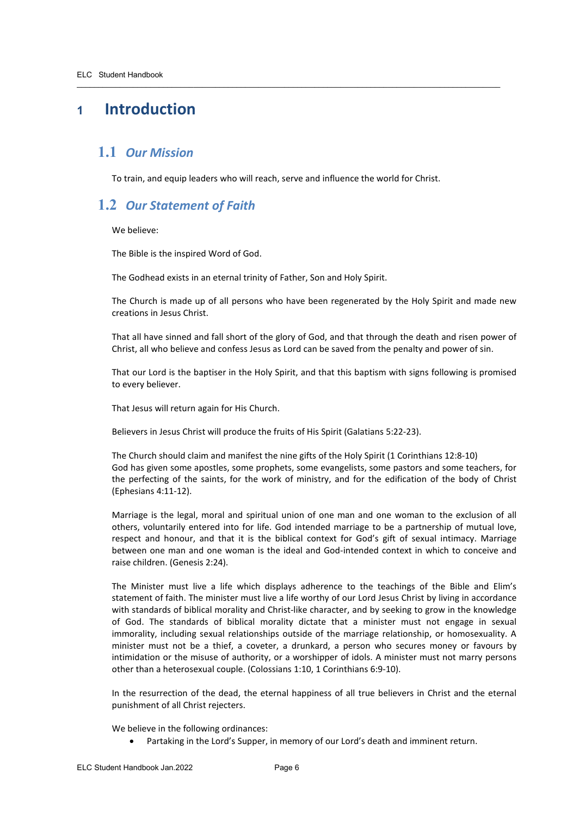## <span id="page-5-0"></span>**<sup>1</sup> Introduction**

## <span id="page-5-1"></span>**1.1** *Our Mission*

To train, and equip leaders who will reach, serve and influence the world for Christ.

 $\overline{\phantom{a}}$  ,  $\overline{\phantom{a}}$  ,  $\overline{\phantom{a}}$  ,  $\overline{\phantom{a}}$  ,  $\overline{\phantom{a}}$  ,  $\overline{\phantom{a}}$  ,  $\overline{\phantom{a}}$  ,  $\overline{\phantom{a}}$  ,  $\overline{\phantom{a}}$  ,  $\overline{\phantom{a}}$  ,  $\overline{\phantom{a}}$  ,  $\overline{\phantom{a}}$  ,  $\overline{\phantom{a}}$  ,  $\overline{\phantom{a}}$  ,  $\overline{\phantom{a}}$  ,  $\overline{\phantom{a}}$ 

## <span id="page-5-2"></span>**1.2** *Our Statement of Faith*

We believe:

The Bible is the inspired Word of God.

The Godhead exists in an eternal trinity of Father, Son and Holy Spirit.

The Church is made up of all persons who have been regenerated by the Holy Spirit and made new creations in Jesus Christ.

That all have sinned and fall short of the glory of God, and that through the death and risen power of Christ, all who believe and confess Jesus as Lord can be saved from the penalty and power of sin.

That our Lord is the baptiser in the Holy Spirit, and that this baptism with signs following is promised to every believer.

That Jesus will return again for His Church.

Believers in Jesus Christ will produce the fruits of His Spirit (Galatians 5:22-23).

The Church should claim and manifest the nine gifts of the Holy Spirit (1 Corinthians 12:8-10) God has given some apostles, some prophets, some evangelists, some pastors and some teachers, for the perfecting of the saints, for the work of ministry, and for the edification of the body of Christ (Ephesians 4:11-12).

Marriage is the legal, moral and spiritual union of one man and one woman to the exclusion of all others, voluntarily entered into for life. God intended marriage to be a partnership of mutual love, respect and honour, and that it is the biblical context for God's gift of sexual intimacy. Marriage between one man and one woman is the ideal and God-intended context in which to conceive and raise children. (Genesis 2:24).

The Minister must live a life which displays adherence to the teachings of the Bible and Elim's statement of faith. The minister must live a life worthy of our Lord Jesus Christ by living in accordance with standards of biblical morality and Christ-like character, and by seeking to grow in the knowledge of God. The standards of biblical morality dictate that a minister must not engage in sexual immorality, including sexual relationships outside of the marriage relationship, or homosexuality. A minister must not be a thief, a coveter, a drunkard, a person who secures money or favours by intimidation or the misuse of authority, or a worshipper of idols. A minister must not marry persons other than a heterosexual couple. (Colossians 1:10, 1 Corinthians 6:9-10).

In the resurrection of the dead, the eternal happiness of all true believers in Christ and the eternal punishment of all Christ rejecters.

We believe in the following ordinances:

• Partaking in the Lord's Supper, in memory of our Lord's death and imminent return.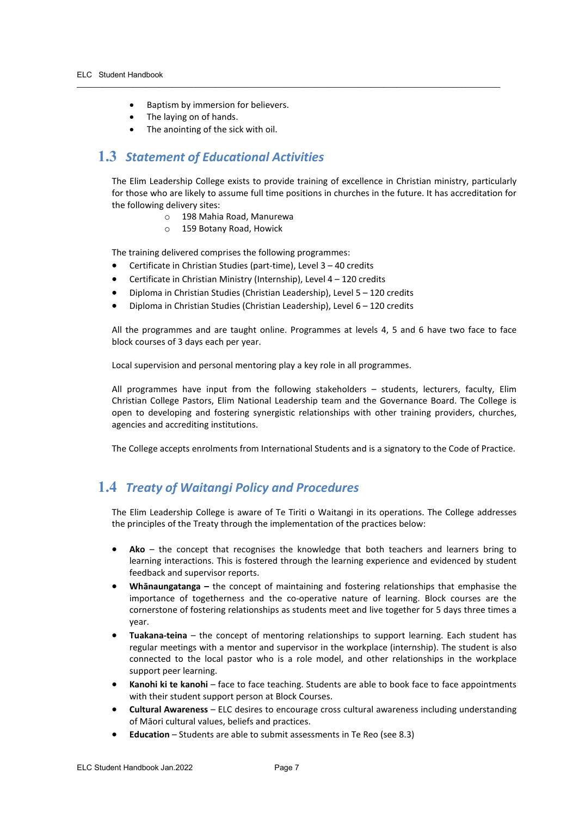- Baptism by immersion for believers.
- The laying on of hands.
- The anointing of the sick with oil.

## <span id="page-6-0"></span>**1.3** *Statement of Educational Activities*

The Elim Leadership College exists to provide training of excellence in Christian ministry, particularly for those who are likely to assume full time positions in churches in the future. It has accreditation for the following delivery sites:

 $\overline{\phantom{a}}$  ,  $\overline{\phantom{a}}$  ,  $\overline{\phantom{a}}$  ,  $\overline{\phantom{a}}$  ,  $\overline{\phantom{a}}$  ,  $\overline{\phantom{a}}$  ,  $\overline{\phantom{a}}$  ,  $\overline{\phantom{a}}$  ,  $\overline{\phantom{a}}$  ,  $\overline{\phantom{a}}$  ,  $\overline{\phantom{a}}$  ,  $\overline{\phantom{a}}$  ,  $\overline{\phantom{a}}$  ,  $\overline{\phantom{a}}$  ,  $\overline{\phantom{a}}$  ,  $\overline{\phantom{a}}$ 

- o 198 Mahia Road, Manurewa
- o 159 Botany Road, Howick

The training delivered comprises the following programmes:

- Certificate in Christian Studies (part-time), Level 3 40 credits
- Certificate in Christian Ministry (Internship), Level 4 120 credits
- Diploma in Christian Studies (Christian Leadership), Level 5 120 credits
- Diploma in Christian Studies (Christian Leadership), Level 6 120 credits

All the programmes and are taught online. Programmes at levels 4, 5 and 6 have two face to face block courses of 3 days each per year.

Local supervision and personal mentoring play a key role in all programmes.

All programmes have input from the following stakeholders – students, lecturers, faculty, Elim Christian College Pastors, Elim National Leadership team and the Governance Board. The College is open to developing and fostering synergistic relationships with other training providers, churches, agencies and accrediting institutions.

The College accepts enrolments from International Students and is a signatory to the Code of Practice.

## <span id="page-6-1"></span>**1.4** *Treaty of Waitangi Policy and Procedures*

The Elim Leadership College is aware of Te Tiriti o Waitangi in its operations. The College addresses the principles of the Treaty through the implementation of the practices below:

- **Ako**  the concept that recognises the knowledge that both teachers and learners bring to learning interactions. This is fostered through the learning experience and evidenced by student feedback and supervisor reports.
- **Whānaungatanga –** the concept of maintaining and fostering relationships that emphasise the importance of togetherness and the co-operative nature of learning. Block courses are the cornerstone of fostering relationships as students meet and live together for 5 days three times a year.
- **Tuakana-teina** the concept of mentoring relationships to support learning. Each student has regular meetings with a mentor and supervisor in the workplace (internship). The student is also connected to the local pastor who is a role model, and other relationships in the workplace support peer learning.
- Kanohi ki te kanohi face to face teaching. Students are able to book face to face appointments with their student support person at Block Courses.
- **Cultural Awareness** ELC desires to encourage cross cultural awareness including understanding of Māori cultural values, beliefs and practices.
- **Education** Students are able to submit assessments in Te Reo (see 8.3)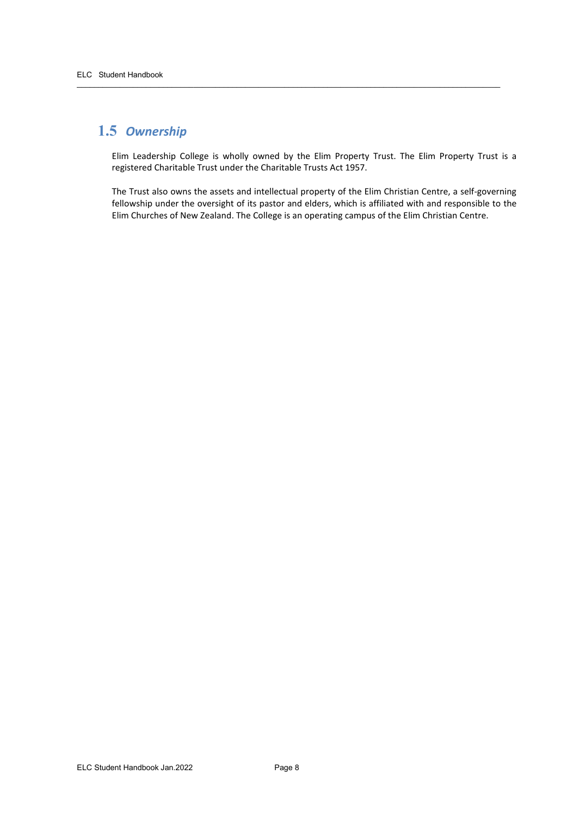## <span id="page-7-0"></span>**1.5** *Ownership*

Elim Leadership College is wholly owned by the Elim Property Trust. The Elim Property Trust is a registered Charitable Trust under the Charitable Trusts Act 1957.

 $\overline{\phantom{a}}$  ,  $\overline{\phantom{a}}$  ,  $\overline{\phantom{a}}$  ,  $\overline{\phantom{a}}$  ,  $\overline{\phantom{a}}$  ,  $\overline{\phantom{a}}$  ,  $\overline{\phantom{a}}$  ,  $\overline{\phantom{a}}$  ,  $\overline{\phantom{a}}$  ,  $\overline{\phantom{a}}$  ,  $\overline{\phantom{a}}$  ,  $\overline{\phantom{a}}$  ,  $\overline{\phantom{a}}$  ,  $\overline{\phantom{a}}$  ,  $\overline{\phantom{a}}$  ,  $\overline{\phantom{a}}$ 

The Trust also owns the assets and intellectual property of the Elim Christian Centre, a self-governing fellowship under the oversight of its pastor and elders, which is affiliated with and responsible to the Elim Churches of New Zealand. The College is an operating campus of the Elim Christian Centre.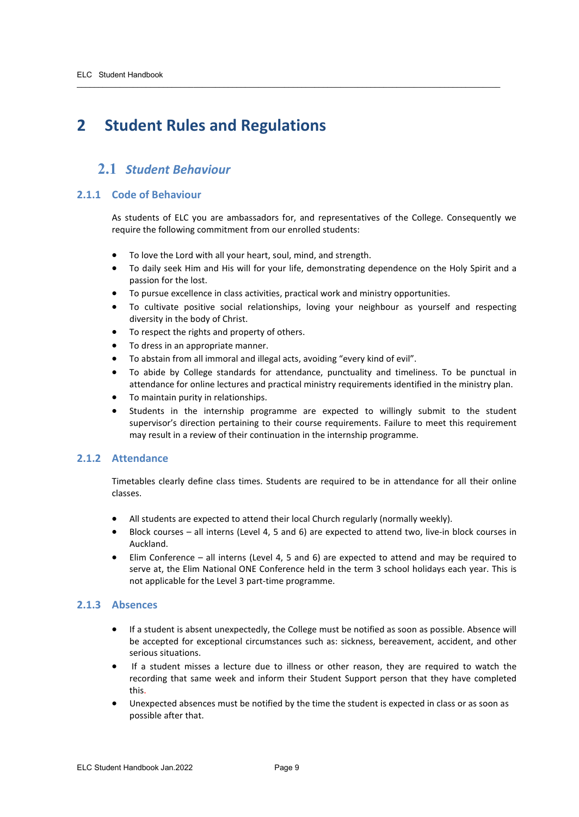## <span id="page-8-0"></span>**2 Student Rules and Regulations**

## <span id="page-8-1"></span>**2.1** *Student Behaviour*

#### <span id="page-8-2"></span>**2.1.1 Code of Behaviour**

As students of ELC you are ambassadors for, and representatives of the College. Consequently we require the following commitment from our enrolled students:

- To love the Lord with all your heart, soul, mind, and strength.
- To daily seek Him and His will for your life, demonstrating dependence on the Holy Spirit and a passion for the lost.
- To pursue excellence in class activities, practical work and ministry opportunities.

 $\overline{\phantom{a}}$  ,  $\overline{\phantom{a}}$  ,  $\overline{\phantom{a}}$  ,  $\overline{\phantom{a}}$  ,  $\overline{\phantom{a}}$  ,  $\overline{\phantom{a}}$  ,  $\overline{\phantom{a}}$  ,  $\overline{\phantom{a}}$  ,  $\overline{\phantom{a}}$  ,  $\overline{\phantom{a}}$  ,  $\overline{\phantom{a}}$  ,  $\overline{\phantom{a}}$  ,  $\overline{\phantom{a}}$  ,  $\overline{\phantom{a}}$  ,  $\overline{\phantom{a}}$  ,  $\overline{\phantom{a}}$ 

- To cultivate positive social relationships, loving your neighbour as yourself and respecting diversity in the body of Christ.
- To respect the rights and property of others.
- To dress in an appropriate manner.
- To abstain from all immoral and illegal acts, avoiding "every kind of evil".
- To abide by College standards for attendance, punctuality and timeliness. To be punctual in attendance for online lectures and practical ministry requirements identified in the ministry plan.
- To maintain purity in relationships.
- Students in the internship programme are expected to willingly submit to the student supervisor's direction pertaining to their course requirements. Failure to meet this requirement may result in a review of their continuation in the internship programme.

#### <span id="page-8-3"></span>**2.1.2 Attendance**

Timetables clearly define class times. Students are required to be in attendance for all their online classes.

- All students are expected to attend their local Church regularly (normally weekly).
- Block courses all interns (Level 4, 5 and 6) are expected to attend two, live-in block courses in Auckland.
- Elim Conference all interns (Level 4, 5 and 6) are expected to attend and may be required to serve at, the Elim National ONE Conference held in the term 3 school holidays each year. This is not applicable for the Level 3 part-time programme.

#### <span id="page-8-4"></span>**2.1.3 Absences**

- If a student is absent unexpectedly, the College must be notified as soon as possible. Absence will be accepted for exceptional circumstances such as: sickness, bereavement, accident, and other serious situations.
- If a student misses a lecture due to illness or other reason, they are required to watch the recording that same week and inform their Student Support person that they have completed this.
- Unexpected absences must be notified by the time the student is expected in class or as soon as possible after that.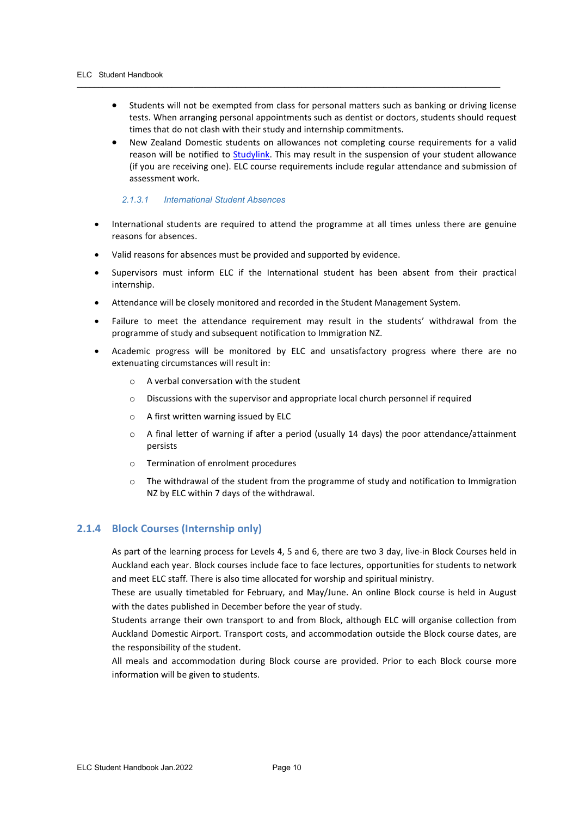• Students will not be exempted from class for personal matters such as banking or driving license tests. When arranging personal appointments such as dentist or doctors, students should request times that do not clash with their study and internship commitments.

 $\overline{\phantom{a}}$  ,  $\overline{\phantom{a}}$  ,  $\overline{\phantom{a}}$  ,  $\overline{\phantom{a}}$  ,  $\overline{\phantom{a}}$  ,  $\overline{\phantom{a}}$  ,  $\overline{\phantom{a}}$  ,  $\overline{\phantom{a}}$  ,  $\overline{\phantom{a}}$  ,  $\overline{\phantom{a}}$  ,  $\overline{\phantom{a}}$  ,  $\overline{\phantom{a}}$  ,  $\overline{\phantom{a}}$  ,  $\overline{\phantom{a}}$  ,  $\overline{\phantom{a}}$  ,  $\overline{\phantom{a}}$ 

• New Zealand Domestic students on allowances not completing course requirements for a valid reason will be notified to **Studylink**. This may result in the suspension of your student allowance (if you are receiving one). ELC course requirements include regular attendance and submission of assessment work.

#### *2.1.3.1 International Student Absences*

- International students are required to attend the programme at all times unless there are genuine reasons for absences.
- Valid reasons for absences must be provided and supported by evidence.
- Supervisors must inform ELC if the International student has been absent from their practical internship.
- Attendance will be closely monitored and recorded in the Student Management System.
- Failure to meet the attendance requirement may result in the students' withdrawal from the programme of study and subsequent notification to Immigration NZ.
- Academic progress will be monitored by ELC and unsatisfactory progress where there are no extenuating circumstances will result in:
	- A verbal conversation with the student
	- o Discussions with the supervisor and appropriate local church personnel if required
	- o A first written warning issued by ELC
	- o A final letter of warning if after a period (usually 14 days) the poor attendance/attainment persists
	- o Termination of enrolment procedures
	- o The withdrawal of the student from the programme of study and notification to Immigration NZ by ELC within 7 days of the withdrawal.

#### <span id="page-9-0"></span>**2.1.4 Block Courses (Internship only)**

As part of the learning process for Levels 4, 5 and 6, there are two 3 day, live-in Block Courses held in Auckland each year. Block courses include face to face lectures, opportunities for students to network and meet ELC staff. There is also time allocated for worship and spiritual ministry.

These are usually timetabled for February, and May/June. An online Block course is held in August with the dates published in December before the year of study.

Students arrange their own transport to and from Block, although ELC will organise collection from Auckland Domestic Airport. Transport costs, and accommodation outside the Block course dates, are the responsibility of the student.

All meals and accommodation during Block course are provided. Prior to each Block course more information will be given to students.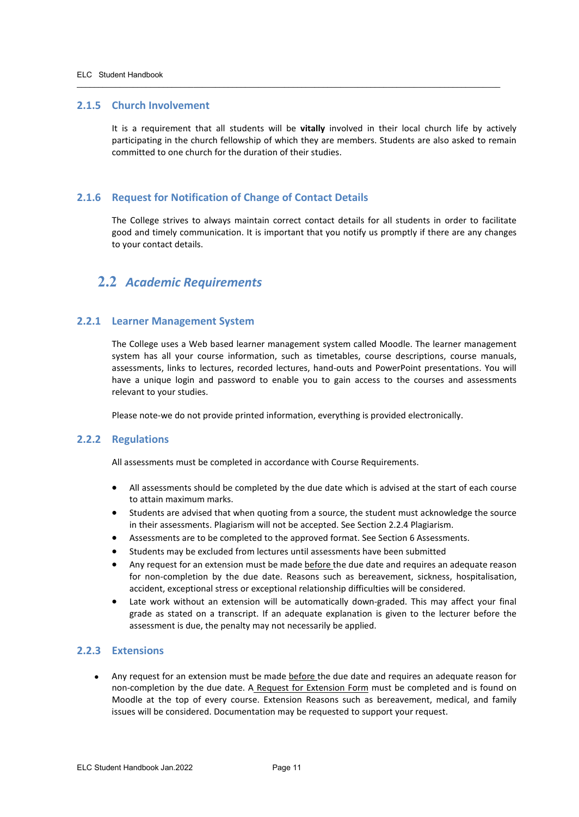#### <span id="page-10-0"></span>**2.1.5 Church Involvement**

It is a requirement that all students will be **vitally** involved in their local church life by actively participating in the church fellowship of which they are members. Students are also asked to remain committed to one church for the duration of their studies.

 $\overline{\phantom{a}}$  ,  $\overline{\phantom{a}}$  ,  $\overline{\phantom{a}}$  ,  $\overline{\phantom{a}}$  ,  $\overline{\phantom{a}}$  ,  $\overline{\phantom{a}}$  ,  $\overline{\phantom{a}}$  ,  $\overline{\phantom{a}}$  ,  $\overline{\phantom{a}}$  ,  $\overline{\phantom{a}}$  ,  $\overline{\phantom{a}}$  ,  $\overline{\phantom{a}}$  ,  $\overline{\phantom{a}}$  ,  $\overline{\phantom{a}}$  ,  $\overline{\phantom{a}}$  ,  $\overline{\phantom{a}}$ 

#### <span id="page-10-1"></span>**2.1.6 Request for Notification of Change of Contact Details**

The College strives to always maintain correct contact details for all students in order to facilitate good and timely communication. It is important that you notify us promptly if there are any changes to your contact details.

## <span id="page-10-2"></span>**2.2** *Academic Requirements*

#### <span id="page-10-3"></span>**2.2.1 Learner Management System**

The College uses a Web based learner management system called Moodle. The learner management system has all your course information, such as timetables, course descriptions, course manuals, assessments, links to lectures, recorded lectures, hand-outs and PowerPoint presentations. You will have a unique login and password to enable you to gain access to the courses and assessments relevant to your studies.

Please note-we do not provide printed information, everything is provided electronically.

#### <span id="page-10-4"></span>**2.2.2 Regulations**

All assessments must be completed in accordance with Course Requirements.

- All assessments should be completed by the due date which is advised at the start of each course to attain maximum marks.
- Students are advised that when quoting from a source, the student must acknowledge the source in their assessments. Plagiarism will not be accepted. See Section 2.2.4 Plagiarism.
- Assessments are to be completed to the approved format. See Section 6 Assessments.
- Students may be excluded from lectures until assessments have been submitted
- Any request for an extension must be made before the due date and requires an adequate reason for non-completion by the due date. Reasons such as bereavement, sickness, hospitalisation, accident, exceptional stress or exceptional relationship difficulties will be considered.
- Late work without an extension will be automatically down-graded. This may affect your final grade as stated on a transcript. If an adequate explanation is given to the lecturer before the assessment is due, the penalty may not necessarily be applied.

#### <span id="page-10-5"></span>**2.2.3 Extensions**

• Any request for an extension must be made before the due date and requires an adequate reason for non-completion by the due date. A Request for Extension Form must be completed and is found on Moodle at the top of every course. Extension Reasons such as bereavement, medical, and family issues will be considered. Documentation may be requested to support your request.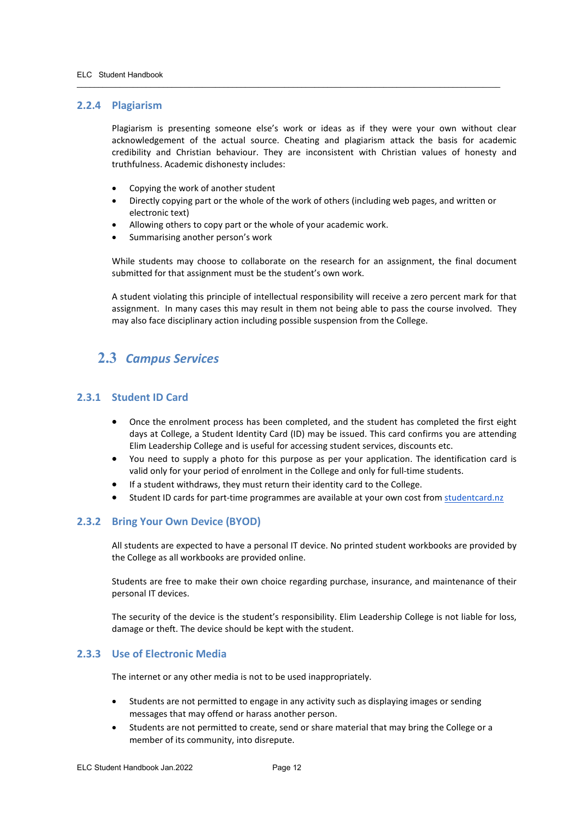#### <span id="page-11-0"></span>**2.2.4 Plagiarism**

Plagiarism is presenting someone else's work or ideas as if they were your own without clear acknowledgement of the actual source. Cheating and plagiarism attack the basis for academic credibility and Christian behaviour. They are inconsistent with Christian values of honesty and truthfulness. Academic dishonesty includes:

 $\overline{\phantom{a}}$  ,  $\overline{\phantom{a}}$  ,  $\overline{\phantom{a}}$  ,  $\overline{\phantom{a}}$  ,  $\overline{\phantom{a}}$  ,  $\overline{\phantom{a}}$  ,  $\overline{\phantom{a}}$  ,  $\overline{\phantom{a}}$  ,  $\overline{\phantom{a}}$  ,  $\overline{\phantom{a}}$  ,  $\overline{\phantom{a}}$  ,  $\overline{\phantom{a}}$  ,  $\overline{\phantom{a}}$  ,  $\overline{\phantom{a}}$  ,  $\overline{\phantom{a}}$  ,  $\overline{\phantom{a}}$ 

- Copying the work of another student
- Directly copying part or the whole of the work of others (including web pages, and written or electronic text)
- Allowing others to copy part or the whole of your academic work.
- Summarising another person's work

While students may choose to collaborate on the research for an assignment, the final document submitted for that assignment must be the student's own work.

A student violating this principle of intellectual responsibility will receive a zero percent mark for that assignment. In many cases this may result in them not being able to pass the course involved. They may also face disciplinary action including possible suspension from the College.

## <span id="page-11-1"></span>**2.3** *Campus Services*

#### <span id="page-11-2"></span>**2.3.1 Student ID Card**

- Once the enrolment process has been completed, and the student has completed the first eight days at College, a Student Identity Card (ID) may be issued. This card confirms you are attending Elim Leadership College and is useful for accessing student services, discounts etc.
- You need to supply a photo for this purpose as per your application. The identification card is valid only for your period of enrolment in the College and only for full-time students.
- If a student withdraws, they must return their identity card to the College.
- Student ID cards for part-time programmes are available at your own cost fro[m studentcard.nz](http://studentcard.nz/)

#### <span id="page-11-3"></span>**2.3.2 Bring Your Own Device (BYOD)**

All students are expected to have a personal IT device. No printed student workbooks are provided by the College as all workbooks are provided online.

Students are free to make their own choice regarding purchase, insurance, and maintenance of their personal IT devices.

The security of the device is the student's responsibility. Elim Leadership College is not liable for loss, damage or theft. The device should be kept with the student.

#### <span id="page-11-4"></span>**2.3.3 Use of Electronic Media**

The internet or any other media is not to be used inappropriately.

- Students are not permitted to engage in any activity such as displaying images or sending messages that may offend or harass another person.
- Students are not permitted to create, send or share material that may bring the College or a member of its community, into disrepute.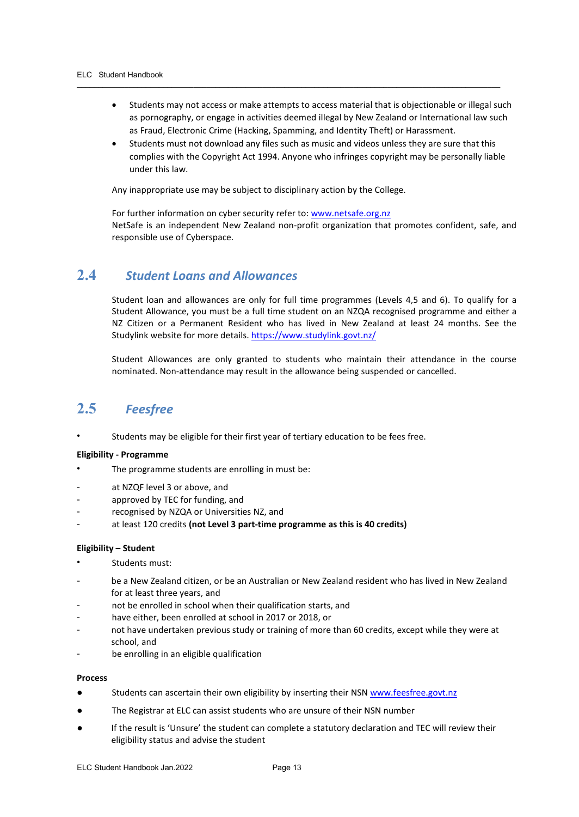• Students may not access or make attempts to access material that is objectionable or illegal such as pornography, or engage in activities deemed illegal by New Zealand or International law such as Fraud, Electronic Crime (Hacking, Spamming, and Identity Theft) or Harassment.

 $\overline{\phantom{a}}$  ,  $\overline{\phantom{a}}$  ,  $\overline{\phantom{a}}$  ,  $\overline{\phantom{a}}$  ,  $\overline{\phantom{a}}$  ,  $\overline{\phantom{a}}$  ,  $\overline{\phantom{a}}$  ,  $\overline{\phantom{a}}$  ,  $\overline{\phantom{a}}$  ,  $\overline{\phantom{a}}$  ,  $\overline{\phantom{a}}$  ,  $\overline{\phantom{a}}$  ,  $\overline{\phantom{a}}$  ,  $\overline{\phantom{a}}$  ,  $\overline{\phantom{a}}$  ,  $\overline{\phantom{a}}$ 

Students must not download any files such as music and videos unless they are sure that this complies with the Copyright Act 1994. Anyone who infringes copyright may be personally liable under this law.

Any inappropriate use may be subject to disciplinary action by the College.

For further information on cyber security refer to: [www.netsafe.org.nz](http://www.netsafe.org.nz/) NetSafe is an independent New Zealand non-profit organization that promotes confident, safe, and responsible use of Cyberspace.

## <span id="page-12-0"></span>**2.4** *Student Loans and Allowances*

Student loan and allowances are only for full time programmes (Levels 4,5 and 6). To qualify for a Student Allowance, you must be a full time student on an NZQA recognised programme and either a NZ Citizen or a Permanent Resident who has lived in New Zealand at least 24 months. See the Studylink website for more details. <https://www.studylink.govt.nz/>

Student Allowances are only granted to students who maintain their attendance in the course nominated. Non-attendance may result in the allowance being suspended or cancelled.

## <span id="page-12-1"></span>**2.5** *Feesfree*

Students may be eligible for their first year of tertiary education to be fees free.

#### **Eligibility - Programme**

- The programme students are enrolling in must be:
- at NZQF level 3 or above, and
- approved by TEC for funding, and
- recognised by NZQA or Universities NZ, and
- at least 120 credits **(not Level 3 part-time programme as this is 40 credits)**

#### **Eligibility – Student**

- Students must:
- be a New Zealand citizen, or be an Australian or New Zealand resident who has lived in New Zealand for at least three years, and
- not be enrolled in school when their qualification starts, and
- have either, been enrolled at school in 2017 or 2018, or
- not have undertaken previous study or training of more than 60 credits, except while they were at school, and
- be enrolling in an eligible qualification

#### **Process**

- **•** Students can ascertain their own eligibility by inserting their NSN [www.feesfree.govt.nz](http://www.feesfree.govt.nz/)
- The Registrar at ELC can assist students who are unsure of their NSN number
- If the result is 'Unsure' the student can complete a statutory declaration and TEC will review their eligibility status and advise the student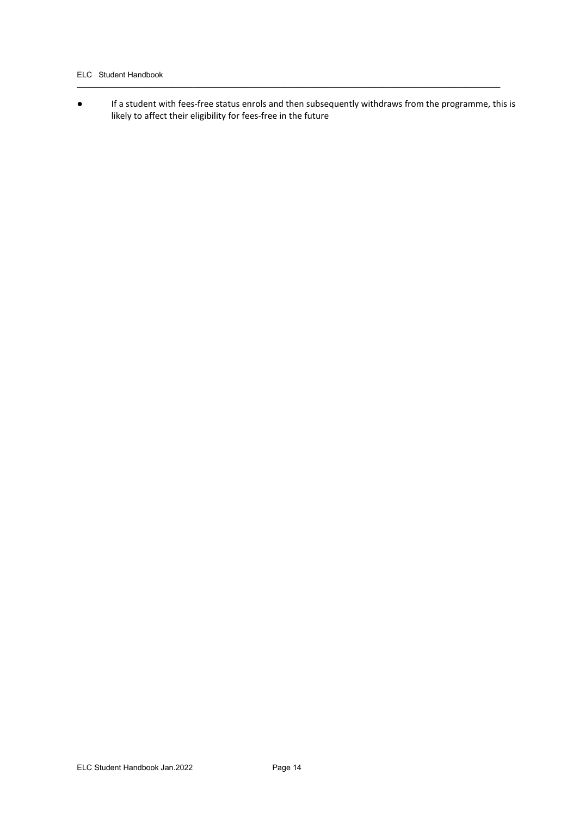#### ELC Student Handbook

● If a student with fees-free status enrols and then subsequently withdraws from the programme, this is likely to affect their eligibility for fees-free in the future

 $\overline{\phantom{a}}$  ,  $\overline{\phantom{a}}$  ,  $\overline{\phantom{a}}$  ,  $\overline{\phantom{a}}$  ,  $\overline{\phantom{a}}$  ,  $\overline{\phantom{a}}$  ,  $\overline{\phantom{a}}$  ,  $\overline{\phantom{a}}$  ,  $\overline{\phantom{a}}$  ,  $\overline{\phantom{a}}$  ,  $\overline{\phantom{a}}$  ,  $\overline{\phantom{a}}$  ,  $\overline{\phantom{a}}$  ,  $\overline{\phantom{a}}$  ,  $\overline{\phantom{a}}$  ,  $\overline{\phantom{a}}$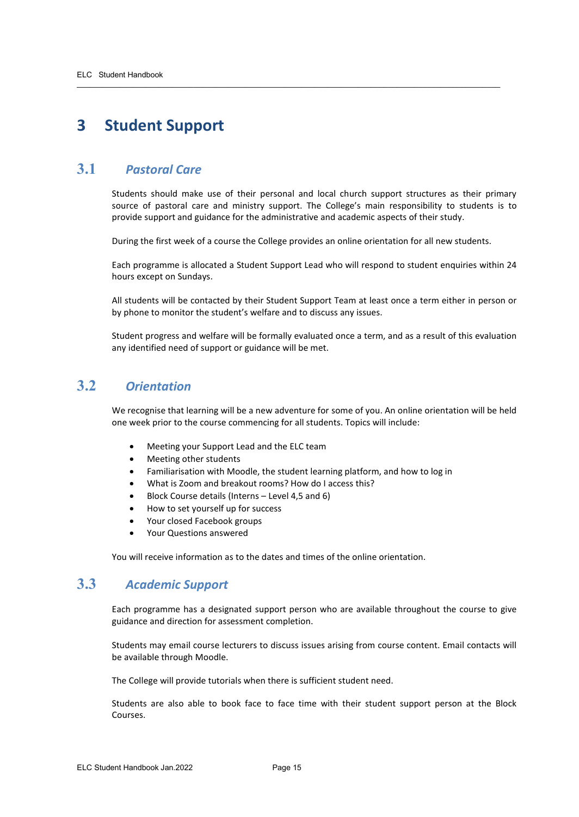## <span id="page-14-0"></span>**3 Student Support**

## <span id="page-14-1"></span>**3.1** *Pastoral Care*

Students should make use of their personal and local church support structures as their primary source of pastoral care and ministry support. The College's main responsibility to students is to provide support and guidance for the administrative and academic aspects of their study.

During the first week of a course the College provides an online orientation for all new students.

 $\overline{\phantom{a}}$  ,  $\overline{\phantom{a}}$  ,  $\overline{\phantom{a}}$  ,  $\overline{\phantom{a}}$  ,  $\overline{\phantom{a}}$  ,  $\overline{\phantom{a}}$  ,  $\overline{\phantom{a}}$  ,  $\overline{\phantom{a}}$  ,  $\overline{\phantom{a}}$  ,  $\overline{\phantom{a}}$  ,  $\overline{\phantom{a}}$  ,  $\overline{\phantom{a}}$  ,  $\overline{\phantom{a}}$  ,  $\overline{\phantom{a}}$  ,  $\overline{\phantom{a}}$  ,  $\overline{\phantom{a}}$ 

Each programme is allocated a Student Support Lead who will respond to student enquiries within 24 hours except on Sundays.

All students will be contacted by their Student Support Team at least once a term either in person or by phone to monitor the student's welfare and to discuss any issues.

Student progress and welfare will be formally evaluated once a term, and as a result of this evaluation any identified need of support or guidance will be met.

## <span id="page-14-2"></span>**3.2** *Orientation*

We recognise that learning will be a new adventure for some of you. An online orientation will be held one week prior to the course commencing for all students. Topics will include:

- Meeting your Support Lead and the ELC team
- Meeting other students
- Familiarisation with Moodle, the student learning platform, and how to log in
- What is Zoom and breakout rooms? How do I access this?
- Block Course details (Interns Level 4,5 and 6)
- How to set yourself up for success
- Your closed Facebook groups
- Your Questions answered

You will receive information as to the dates and times of the online orientation.

## <span id="page-14-3"></span>**3.3** *Academic Support*

Each programme has a designated support person who are available throughout the course to give guidance and direction for assessment completion.

Students may email course lecturers to discuss issues arising from course content. Email contacts will be available through Moodle.

The College will provide tutorials when there is sufficient student need.

Students are also able to book face to face time with their student support person at the Block Courses.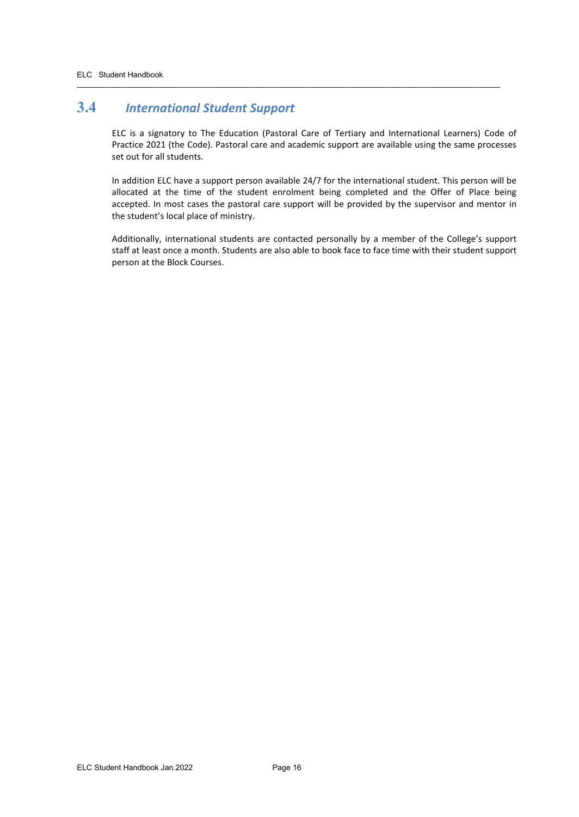## <span id="page-15-0"></span>**3.4** *International Student Support*

ELC is a signatory to The Education (Pastoral Care of Tertiary and International Learners) Code of Practice 2021 (the Code). Pastoral care and academic support are available using the same processes set out for all students.

 $\overline{\phantom{a}}$  ,  $\overline{\phantom{a}}$  ,  $\overline{\phantom{a}}$  ,  $\overline{\phantom{a}}$  ,  $\overline{\phantom{a}}$  ,  $\overline{\phantom{a}}$  ,  $\overline{\phantom{a}}$  ,  $\overline{\phantom{a}}$  ,  $\overline{\phantom{a}}$  ,  $\overline{\phantom{a}}$  ,  $\overline{\phantom{a}}$  ,  $\overline{\phantom{a}}$  ,  $\overline{\phantom{a}}$  ,  $\overline{\phantom{a}}$  ,  $\overline{\phantom{a}}$  ,  $\overline{\phantom{a}}$ 

In addition ELC have a support person available 24/7 for the international student. This person will be allocated at the time of the student enrolment being completed and the Offer of Place being accepted. In most cases the pastoral care support will be provided by the supervisor and mentor in the student's local place of ministry.

Additionally, international students are contacted personally by a member of the College's support staff at least once a month. Students are also able to book face to face time with their student support person at the Block Courses.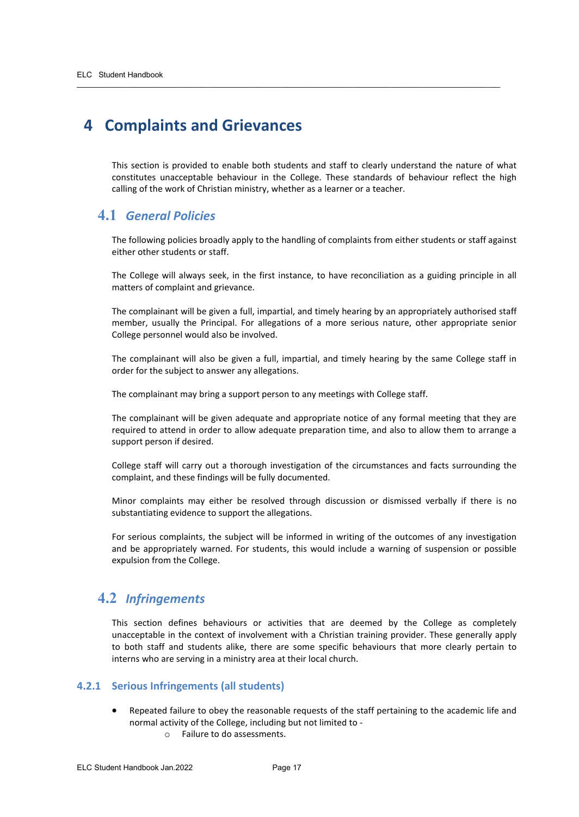## <span id="page-16-0"></span>**4 Complaints and Grievances**

This section is provided to enable both students and staff to clearly understand the nature of what constitutes unacceptable behaviour in the College. These standards of behaviour reflect the high calling of the work of Christian ministry, whether as a learner or a teacher.

 $\overline{\phantom{a}}$  ,  $\overline{\phantom{a}}$  ,  $\overline{\phantom{a}}$  ,  $\overline{\phantom{a}}$  ,  $\overline{\phantom{a}}$  ,  $\overline{\phantom{a}}$  ,  $\overline{\phantom{a}}$  ,  $\overline{\phantom{a}}$  ,  $\overline{\phantom{a}}$  ,  $\overline{\phantom{a}}$  ,  $\overline{\phantom{a}}$  ,  $\overline{\phantom{a}}$  ,  $\overline{\phantom{a}}$  ,  $\overline{\phantom{a}}$  ,  $\overline{\phantom{a}}$  ,  $\overline{\phantom{a}}$ 

#### <span id="page-16-1"></span>**4.1** *General Policies*

The following policies broadly apply to the handling of complaints from either students or staff against either other students or staff.

The College will always seek, in the first instance, to have reconciliation as a guiding principle in all matters of complaint and grievance.

The complainant will be given a full, impartial, and timely hearing by an appropriately authorised staff member, usually the Principal. For allegations of a more serious nature, other appropriate senior College personnel would also be involved.

The complainant will also be given a full, impartial, and timely hearing by the same College staff in order for the subject to answer any allegations.

The complainant may bring a support person to any meetings with College staff.

The complainant will be given adequate and appropriate notice of any formal meeting that they are required to attend in order to allow adequate preparation time, and also to allow them to arrange a support person if desired.

College staff will carry out a thorough investigation of the circumstances and facts surrounding the complaint, and these findings will be fully documented.

Minor complaints may either be resolved through discussion or dismissed verbally if there is no substantiating evidence to support the allegations.

For serious complaints, the subject will be informed in writing of the outcomes of any investigation and be appropriately warned. For students, this would include a warning of suspension or possible expulsion from the College.

## <span id="page-16-2"></span>**4.2** *Infringements*

This section defines behaviours or activities that are deemed by the College as completely unacceptable in the context of involvement with a Christian training provider. These generally apply to both staff and students alike, there are some specific behaviours that more clearly pertain to interns who are serving in a ministry area at their local church.

#### <span id="page-16-3"></span>**4.2.1 Serious Infringements (all students)**

- Repeated failure to obey the reasonable requests of the staff pertaining to the academic life and normal activity of the College, including but not limited to
	- o Failure to do assessments.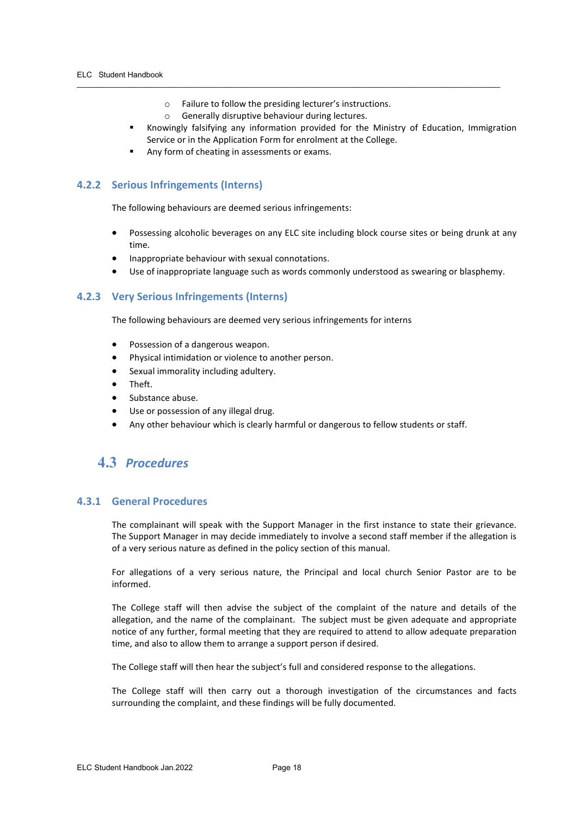o Failure to follow the presiding lecturer's instructions.

 $\overline{\phantom{a}}$  ,  $\overline{\phantom{a}}$  ,  $\overline{\phantom{a}}$  ,  $\overline{\phantom{a}}$  ,  $\overline{\phantom{a}}$  ,  $\overline{\phantom{a}}$  ,  $\overline{\phantom{a}}$  ,  $\overline{\phantom{a}}$  ,  $\overline{\phantom{a}}$  ,  $\overline{\phantom{a}}$  ,  $\overline{\phantom{a}}$  ,  $\overline{\phantom{a}}$  ,  $\overline{\phantom{a}}$  ,  $\overline{\phantom{a}}$  ,  $\overline{\phantom{a}}$  ,  $\overline{\phantom{a}}$ 

- o Generally disruptive behaviour during lectures.
- Knowingly falsifying any information provided for the Ministry of Education, Immigration Service or in the Application Form for enrolment at the College.
- Any form of cheating in assessments or exams.

#### <span id="page-17-0"></span>**4.2.2 Serious Infringements (Interns)**

The following behaviours are deemed serious infringements:

- Possessing alcoholic beverages on any ELC site including block course sites or being drunk at any time.
- Inappropriate behaviour with sexual connotations.
- Use of inappropriate language such as words commonly understood as swearing or blasphemy.

#### <span id="page-17-1"></span>**4.2.3 Very Serious Infringements (Interns)**

The following behaviours are deemed very serious infringements for interns

- Possession of a dangerous weapon.
- Physical intimidation or violence to another person.
- Sexual immorality including adultery.
- Theft.
- Substance abuse.
- Use or possession of any illegal drug.
- Any other behaviour which is clearly harmful or dangerous to fellow students or staff.

## <span id="page-17-2"></span>**4.3** *Procedures*

#### <span id="page-17-3"></span>**4.3.1 General Procedures**

The complainant will speak with the Support Manager in the first instance to state their grievance. The Support Manager in may decide immediately to involve a second staff member if the allegation is of a very serious nature as defined in the policy section of this manual.

For allegations of a very serious nature, the Principal and local church Senior Pastor are to be informed.

The College staff will then advise the subject of the complaint of the nature and details of the allegation, and the name of the complainant. The subject must be given adequate and appropriate notice of any further, formal meeting that they are required to attend to allow adequate preparation time, and also to allow them to arrange a support person if desired.

The College staff will then hear the subject's full and considered response to the allegations.

The College staff will then carry out a thorough investigation of the circumstances and facts surrounding the complaint, and these findings will be fully documented.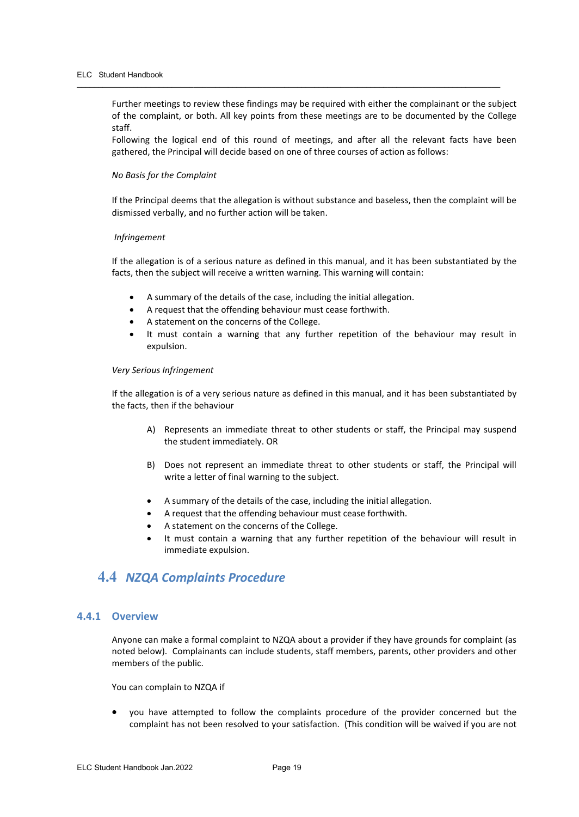Further meetings to review these findings may be required with either the complainant or the subject of the complaint, or both. All key points from these meetings are to be documented by the College staff.

 $\overline{\phantom{a}}$  ,  $\overline{\phantom{a}}$  ,  $\overline{\phantom{a}}$  ,  $\overline{\phantom{a}}$  ,  $\overline{\phantom{a}}$  ,  $\overline{\phantom{a}}$  ,  $\overline{\phantom{a}}$  ,  $\overline{\phantom{a}}$  ,  $\overline{\phantom{a}}$  ,  $\overline{\phantom{a}}$  ,  $\overline{\phantom{a}}$  ,  $\overline{\phantom{a}}$  ,  $\overline{\phantom{a}}$  ,  $\overline{\phantom{a}}$  ,  $\overline{\phantom{a}}$  ,  $\overline{\phantom{a}}$ 

Following the logical end of this round of meetings, and after all the relevant facts have been gathered, the Principal will decide based on one of three courses of action as follows:

#### *No Basis for the Complaint*

If the Principal deems that the allegation is without substance and baseless, then the complaint will be dismissed verbally, and no further action will be taken.

#### *Infringement*

If the allegation is of a serious nature as defined in this manual, and it has been substantiated by the facts, then the subject will receive a written warning. This warning will contain:

- A summary of the details of the case, including the initial allegation.
- A request that the offending behaviour must cease forthwith.
- A statement on the concerns of the College.
- It must contain a warning that any further repetition of the behaviour may result in expulsion.

#### *Very Serious Infringement*

If the allegation is of a very serious nature as defined in this manual, and it has been substantiated by the facts, then if the behaviour

- A) Represents an immediate threat to other students or staff, the Principal may suspend the student immediately. OR
- B) Does not represent an immediate threat to other students or staff, the Principal will write a letter of final warning to the subject.
- A summary of the details of the case, including the initial allegation.
- A request that the offending behaviour must cease forthwith.
- A statement on the concerns of the College.
- It must contain a warning that any further repetition of the behaviour will result in immediate expulsion.

## <span id="page-18-0"></span>**4.4** *NZQA Complaints Procedure*

#### <span id="page-18-1"></span>**4.4.1 Overview**

Anyone can make a formal complaint to NZQA about a provider if they have grounds for complaint (as noted below). Complainants can include students, staff members, parents, other providers and other members of the public.

You can complain to NZQA if

• you have attempted to follow the complaints procedure of the provider concerned but the complaint has not been resolved to your satisfaction. (This condition will be waived if you are not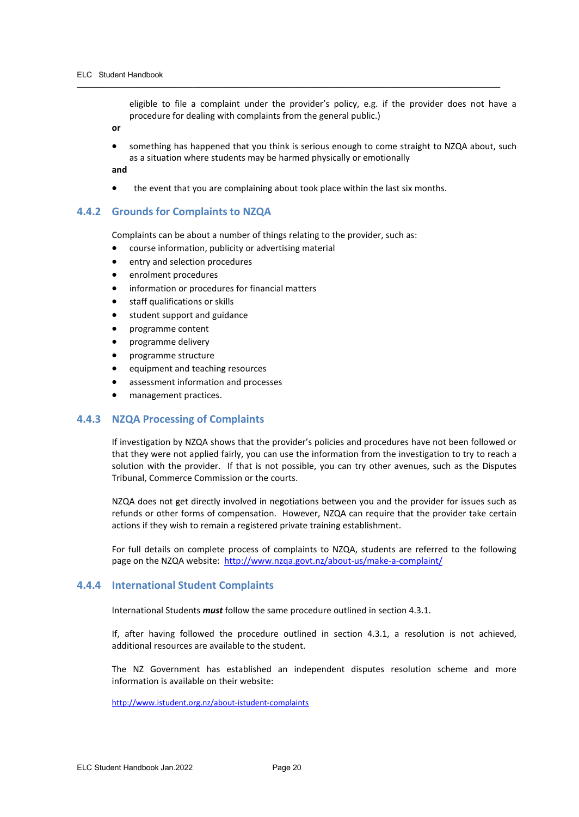eligible to file a complaint under the provider's policy, e.g. if the provider does not have a procedure for dealing with complaints from the general public.)

**or**

• something has happened that you think is serious enough to come straight to NZQA about, such as a situation where students may be harmed physically or emotionally

**and**

the event that you are complaining about took place within the last six months.

 $\overline{\phantom{a}}$  ,  $\overline{\phantom{a}}$  ,  $\overline{\phantom{a}}$  ,  $\overline{\phantom{a}}$  ,  $\overline{\phantom{a}}$  ,  $\overline{\phantom{a}}$  ,  $\overline{\phantom{a}}$  ,  $\overline{\phantom{a}}$  ,  $\overline{\phantom{a}}$  ,  $\overline{\phantom{a}}$  ,  $\overline{\phantom{a}}$  ,  $\overline{\phantom{a}}$  ,  $\overline{\phantom{a}}$  ,  $\overline{\phantom{a}}$  ,  $\overline{\phantom{a}}$  ,  $\overline{\phantom{a}}$ 

#### <span id="page-19-0"></span>**4.4.2 Grounds for Complaints to NZQA**

Complaints can be about a number of things relating to the provider, such as:

- course information, publicity or advertising material
- entry and selection procedures
- enrolment procedures
- information or procedures for financial matters
- staff qualifications or skills
- student support and guidance
- programme content
- programme delivery
- programme structure
- equipment and teaching resources
- assessment information and processes
- management practices.

#### <span id="page-19-1"></span>**4.4.3 NZQA Processing of Complaints**

If investigation by NZQA shows that the provider's policies and procedures have not been followed or that they were not applied fairly, you can use the information from the investigation to try to reach a solution with the provider. If that is not possible, you can try other avenues, such as the Disputes Tribunal, Commerce Commission or the courts.

NZQA does not get directly involved in negotiations between you and the provider for issues such as refunds or other forms of compensation. However, NZQA can require that the provider take certain actions if they wish to remain a registered private training establishment.

For full details on complete process of complaints to NZQA, students are referred to the following page on the NZQA website: <http://www.nzqa.govt.nz/about-us/make-a-complaint/>

#### <span id="page-19-2"></span>**4.4.4 International Student Complaints**

International Students *must* follow the same procedure outlined in section 4.3.1.

If, after having followed the procedure outlined in section 4.3.1, a resolution is not achieved, additional resources are available to the student.

The NZ Government has established an independent disputes resolution scheme and more information is available on their website:

<http://www.istudent.org.nz/about-istudent-complaints>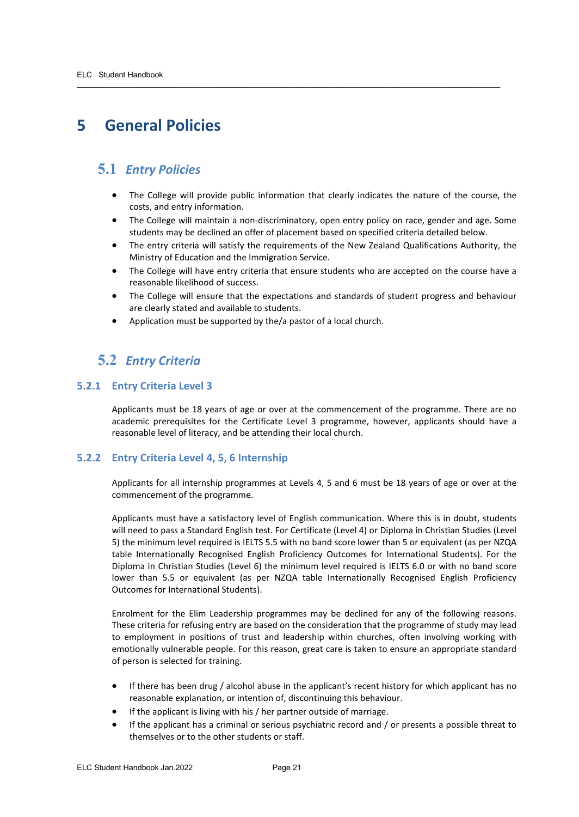## <span id="page-20-0"></span>**5 General Policies**

## <span id="page-20-1"></span>**5.1** *Entry Policies*

• The College will provide public information that clearly indicates the nature of the course, the costs, and entry information.

 $\overline{\phantom{a}}$  ,  $\overline{\phantom{a}}$  ,  $\overline{\phantom{a}}$  ,  $\overline{\phantom{a}}$  ,  $\overline{\phantom{a}}$  ,  $\overline{\phantom{a}}$  ,  $\overline{\phantom{a}}$  ,  $\overline{\phantom{a}}$  ,  $\overline{\phantom{a}}$  ,  $\overline{\phantom{a}}$  ,  $\overline{\phantom{a}}$  ,  $\overline{\phantom{a}}$  ,  $\overline{\phantom{a}}$  ,  $\overline{\phantom{a}}$  ,  $\overline{\phantom{a}}$  ,  $\overline{\phantom{a}}$ 

- The College will maintain a non-discriminatory, open entry policy on race, gender and age. Some students may be declined an offer of placement based on specified criteria detailed below.
- The entry criteria will satisfy the requirements of the New Zealand Qualifications Authority, the Ministry of Education and the Immigration Service.
- The College will have entry criteria that ensure students who are accepted on the course have a reasonable likelihood of success.
- The College will ensure that the expectations and standards of student progress and behaviour are clearly stated and available to students.
- Application must be supported by the/a pastor of a local church.

## <span id="page-20-2"></span>**5.2** *Entry Criteria*

#### <span id="page-20-3"></span>**5.2.1 Entry Criteria Level 3**

Applicants must be 18 years of age or over at the commencement of the programme. There are no academic prerequisites for the Certificate Level 3 programme, however, applicants should have a reasonable level of literacy, and be attending their local church.

#### <span id="page-20-4"></span>**5.2.2 Entry Criteria Level 4, 5, 6 Internship**

Applicants for all internship programmes at Levels 4, 5 and 6 must be 18 years of age or over at the commencement of the programme.

Applicants must have a satisfactory level of English communication. Where this is in doubt, students will need to pass a Standard English test. For Certificate (Level 4) or Diploma in Christian Studies (Level 5) the minimum level required is IELTS 5.5 with no band score lower than 5 or equivalent (as per NZQA table Internationally Recognised English Proficiency Outcomes for International Students). For the Diploma in Christian Studies (Level 6) the minimum level required is IELTS 6.0 or with no band score lower than 5.5 or equivalent (as per NZQA table Internationally Recognised English Proficiency Outcomes for International Students).

Enrolment for the Elim Leadership programmes may be declined for any of the following reasons. These criteria for refusing entry are based on the consideration that the programme of study may lead to employment in positions of trust and leadership within churches, often involving working with emotionally vulnerable people. For this reason, great care is taken to ensure an appropriate standard of person is selected for training.

- If there has been drug / alcohol abuse in the applicant's recent history for which applicant has no reasonable explanation, or intention of, discontinuing this behaviour.
- If the applicant is living with his / her partner outside of marriage.
- If the applicant has a criminal or serious psychiatric record and / or presents a possible threat to themselves or to the other students or staff.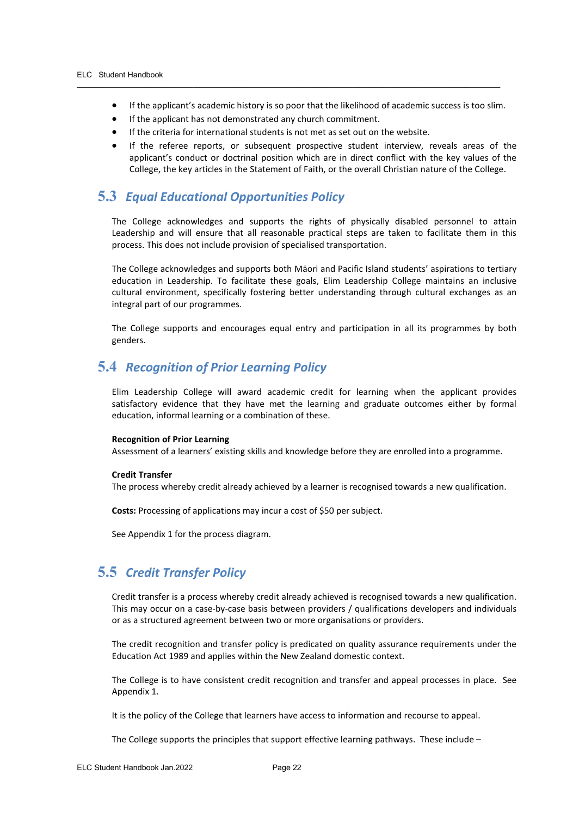• If the applicant's academic history is so poor that the likelihood of academic success is too slim.

 $\overline{\phantom{a}}$  ,  $\overline{\phantom{a}}$  ,  $\overline{\phantom{a}}$  ,  $\overline{\phantom{a}}$  ,  $\overline{\phantom{a}}$  ,  $\overline{\phantom{a}}$  ,  $\overline{\phantom{a}}$  ,  $\overline{\phantom{a}}$  ,  $\overline{\phantom{a}}$  ,  $\overline{\phantom{a}}$  ,  $\overline{\phantom{a}}$  ,  $\overline{\phantom{a}}$  ,  $\overline{\phantom{a}}$  ,  $\overline{\phantom{a}}$  ,  $\overline{\phantom{a}}$  ,  $\overline{\phantom{a}}$ 

- If the applicant has not demonstrated any church commitment.
- If the criteria for international students is not met as set out on the website.
- If the referee reports, or subsequent prospective student interview, reveals areas of the applicant's conduct or doctrinal position which are in direct conflict with the key values of the College, the key articles in the Statement of Faith, or the overall Christian nature of the College.

## <span id="page-21-0"></span>**5.3** *Equal Educational Opportunities Policy*

The College acknowledges and supports the rights of physically disabled personnel to attain Leadership and will ensure that all reasonable practical steps are taken to facilitate them in this process. This does not include provision of specialised transportation.

The College acknowledges and supports both Māori and Pacific Island students' aspirations to tertiary education in Leadership. To facilitate these goals, Elim Leadership College maintains an inclusive cultural environment, specifically fostering better understanding through cultural exchanges as an integral part of our programmes.

The College supports and encourages equal entry and participation in all its programmes by both genders.

## <span id="page-21-1"></span>**5.4** *Recognition of Prior Learning Policy*

Elim Leadership College will award academic credit for learning when the applicant provides satisfactory evidence that they have met the learning and graduate outcomes either by formal education, informal learning or a combination of these.

#### **Recognition of Prior Learning**

Assessment of a learners' existing skills and knowledge before they are enrolled into a programme.

#### **Credit Transfer**

The process whereby credit already achieved by a learner is recognised towards a new qualification.

**Costs:** Processing of applications may incur a cost of \$50 per subject.

See Appendix 1 for the process diagram.

## <span id="page-21-2"></span>**5.5** *Credit Transfer Policy*

Credit transfer is a process whereby credit already achieved is recognised towards a new qualification. This may occur on a case-by-case basis between providers / qualifications developers and individuals or as a structured agreement between two or more organisations or providers.

The credit recognition and transfer policy is predicated on quality assurance requirements under the Education Act 1989 and applies within the New Zealand domestic context.

The College is to have consistent credit recognition and transfer and appeal processes in place. See Appendix 1.

It is the policy of the College that learners have access to information and recourse to appeal.

The College supports the principles that support effective learning pathways. These include –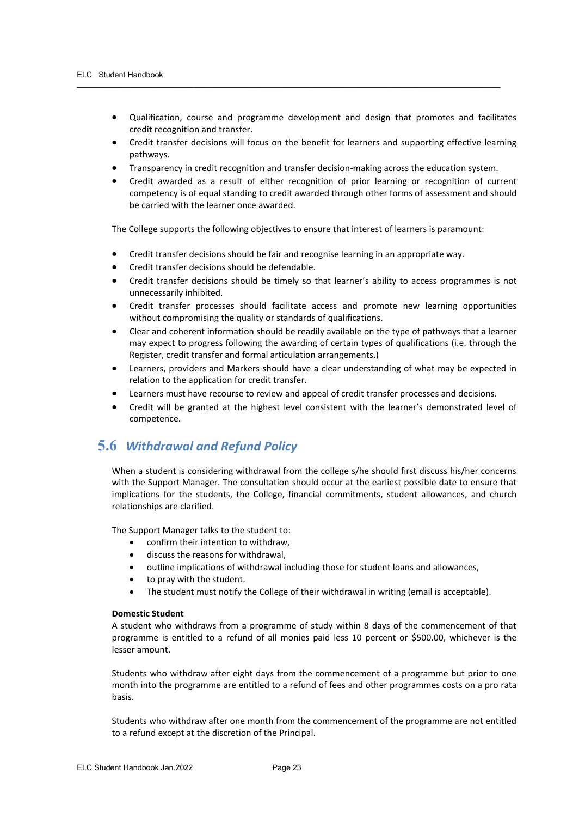- Qualification, course and programme development and design that promotes and facilitates credit recognition and transfer.
- Credit transfer decisions will focus on the benefit for learners and supporting effective learning pathways.
- Transparency in credit recognition and transfer decision-making across the education system.

 $\overline{\phantom{a}}$  ,  $\overline{\phantom{a}}$  ,  $\overline{\phantom{a}}$  ,  $\overline{\phantom{a}}$  ,  $\overline{\phantom{a}}$  ,  $\overline{\phantom{a}}$  ,  $\overline{\phantom{a}}$  ,  $\overline{\phantom{a}}$  ,  $\overline{\phantom{a}}$  ,  $\overline{\phantom{a}}$  ,  $\overline{\phantom{a}}$  ,  $\overline{\phantom{a}}$  ,  $\overline{\phantom{a}}$  ,  $\overline{\phantom{a}}$  ,  $\overline{\phantom{a}}$  ,  $\overline{\phantom{a}}$ 

• Credit awarded as a result of either recognition of prior learning or recognition of current competency is of equal standing to credit awarded through other forms of assessment and should be carried with the learner once awarded.

The College supports the following objectives to ensure that interest of learners is paramount:

- Credit transfer decisions should be fair and recognise learning in an appropriate way.
- Credit transfer decisions should be defendable.
- Credit transfer decisions should be timely so that learner's ability to access programmes is not unnecessarily inhibited.
- Credit transfer processes should facilitate access and promote new learning opportunities without compromising the quality or standards of qualifications.
- Clear and coherent information should be readily available on the type of pathways that a learner may expect to progress following the awarding of certain types of qualifications (i.e. through the Register, credit transfer and formal articulation arrangements.)
- Learners, providers and Markers should have a clear understanding of what may be expected in relation to the application for credit transfer.
- Learners must have recourse to review and appeal of credit transfer processes and decisions.
- Credit will be granted at the highest level consistent with the learner's demonstrated level of competence.

## <span id="page-22-0"></span>**5.6** *Withdrawal and Refund Policy*

When a student is considering withdrawal from the college s/he should first discuss his/her concerns with the Support Manager. The consultation should occur at the earliest possible date to ensure that implications for the students, the College, financial commitments, student allowances, and church relationships are clarified.

The Support Manager talks to the student to:

- confirm their intention to withdraw,
- discuss the reasons for withdrawal,
- outline implications of withdrawal including those for student loans and allowances,
- to pray with the student.
- The student must notify the College of their withdrawal in writing (email is acceptable).

#### **Domestic Student**

A student who withdraws from a programme of study within 8 days of the commencement of that programme is entitled to a refund of all monies paid less 10 percent or \$500.00, whichever is the lesser amount.

Students who withdraw after eight days from the commencement of a programme but prior to one month into the programme are entitled to a refund of fees and other programmes costs on a pro rata basis.

Students who withdraw after one month from the commencement of the programme are not entitled to a refund except at the discretion of the Principal.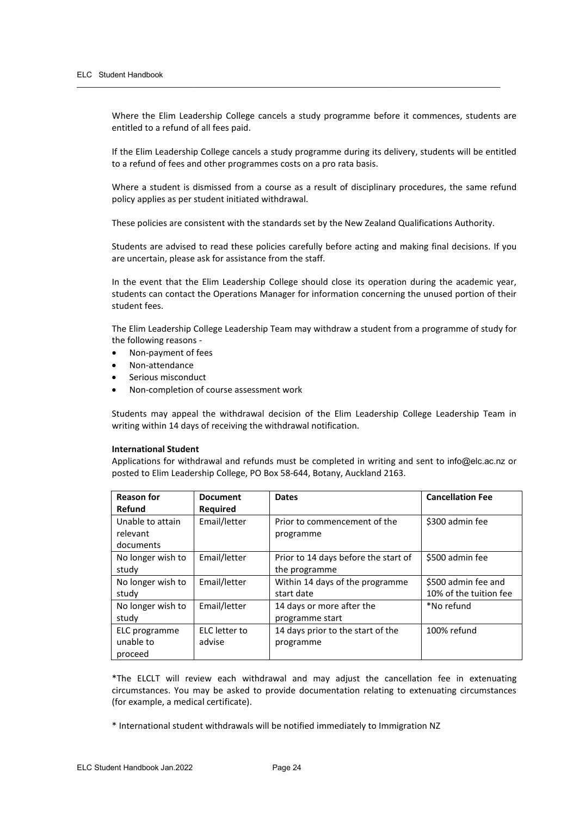Where the Elim Leadership College cancels a study programme before it commences, students are entitled to a refund of all fees paid.

 $\overline{\phantom{a}}$  ,  $\overline{\phantom{a}}$  ,  $\overline{\phantom{a}}$  ,  $\overline{\phantom{a}}$  ,  $\overline{\phantom{a}}$  ,  $\overline{\phantom{a}}$  ,  $\overline{\phantom{a}}$  ,  $\overline{\phantom{a}}$  ,  $\overline{\phantom{a}}$  ,  $\overline{\phantom{a}}$  ,  $\overline{\phantom{a}}$  ,  $\overline{\phantom{a}}$  ,  $\overline{\phantom{a}}$  ,  $\overline{\phantom{a}}$  ,  $\overline{\phantom{a}}$  ,  $\overline{\phantom{a}}$ 

If the Elim Leadership College cancels a study programme during its delivery, students will be entitled to a refund of fees and other programmes costs on a pro rata basis.

Where a student is dismissed from a course as a result of disciplinary procedures, the same refund policy applies as per student initiated withdrawal.

These policies are consistent with the standards set by the New Zealand Qualifications Authority.

Students are advised to read these policies carefully before acting and making final decisions. If you are uncertain, please ask for assistance from the staff.

In the event that the Elim Leadership College should close its operation during the academic year, students can contact the Operations Manager for information concerning the unused portion of their student fees.

The Elim Leadership College Leadership Team may withdraw a student from a programme of study for the following reasons -

- Non-payment of fees
- Non-attendance
- Serious misconduct
- Non-completion of course assessment work

Students may appeal the withdrawal decision of the Elim Leadership College Leadership Team in writing within 14 days of receiving the withdrawal notification.

#### **International Student**

Applications for withdrawal and refunds must be completed in writing and sent to [info@elc.ac.nz](mailto:info@elc.ac.nz) or posted to Elim Leadership College, PO Box 58-644, Botany, Auckland 2163.

| <b>Reason for</b> | <b>Document</b> | <b>Dates</b>                         | <b>Cancellation Fee</b> |
|-------------------|-----------------|--------------------------------------|-------------------------|
| Refund            | <b>Required</b> |                                      |                         |
| Unable to attain  | Email/letter    | Prior to commencement of the         | \$300 admin fee         |
| relevant          |                 | programme                            |                         |
| documents         |                 |                                      |                         |
| No longer wish to | Email/letter    | Prior to 14 days before the start of | \$500 admin fee         |
| study             |                 | the programme                        |                         |
| No longer wish to | Email/letter    | Within 14 days of the programme      | \$500 admin fee and     |
| study             |                 | start date                           | 10% of the tuition fee  |
| No longer wish to | Email/letter    | 14 days or more after the            | *No refund              |
| study             |                 | programme start                      |                         |
| ELC programme     | ELC letter to   | 14 days prior to the start of the    | 100% refund             |
| unable to         | advise          | programme                            |                         |
| proceed           |                 |                                      |                         |

\*The ELCLT will review each withdrawal and may adjust the cancellation fee in extenuating circumstances. You may be asked to provide documentation relating to extenuating circumstances (for example, a medical certificate).

\* International student withdrawals will be notified immediately to Immigration NZ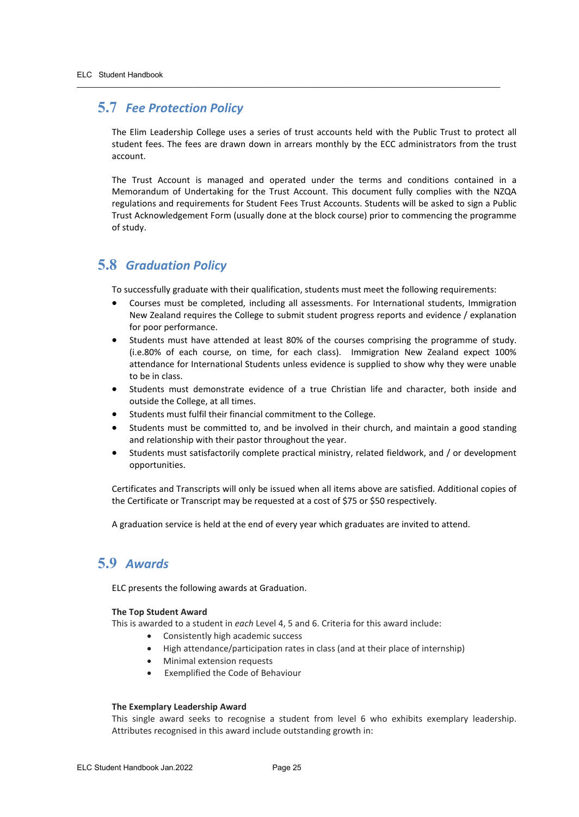## **5.7** *Fee Protection Policy*

The Elim Leadership College uses a series of trust accounts held with the Public Trust to protect all student fees. The fees are drawn down in arrears monthly by the ECC administrators from the trust account.

<span id="page-24-0"></span> $\overline{\phantom{a}}$  ,  $\overline{\phantom{a}}$  ,  $\overline{\phantom{a}}$  ,  $\overline{\phantom{a}}$  ,  $\overline{\phantom{a}}$  ,  $\overline{\phantom{a}}$  ,  $\overline{\phantom{a}}$  ,  $\overline{\phantom{a}}$  ,  $\overline{\phantom{a}}$  ,  $\overline{\phantom{a}}$  ,  $\overline{\phantom{a}}$  ,  $\overline{\phantom{a}}$  ,  $\overline{\phantom{a}}$  ,  $\overline{\phantom{a}}$  ,  $\overline{\phantom{a}}$  ,  $\overline{\phantom{a}}$ 

The Trust Account is managed and operated under the terms and conditions contained in a Memorandum of Undertaking for the Trust Account. This document fully complies with the NZQA regulations and requirements for Student Fees Trust Accounts. Students will be asked to sign a Public Trust Acknowledgement Form (usually done at the block course) prior to commencing the programme of study.

## <span id="page-24-1"></span>**5.8** *Graduation Policy*

To successfully graduate with their qualification, students must meet the following requirements:

- Courses must be completed, including all assessments. For International students, Immigration New Zealand requires the College to submit student progress reports and evidence / explanation for poor performance.
- Students must have attended at least 80% of the courses comprising the programme of study. (i.e.80% of each course, on time, for each class). Immigration New Zealand expect 100% attendance for International Students unless evidence is supplied to show why they were unable to be in class.
- Students must demonstrate evidence of a true Christian life and character, both inside and outside the College, at all times.
- Students must fulfil their financial commitment to the College.
- Students must be committed to, and be involved in their church, and maintain a good standing and relationship with their pastor throughout the year.
- Students must satisfactorily complete practical ministry, related fieldwork, and / or development opportunities.

Certificates and Transcripts will only be issued when all items above are satisfied. Additional copies of the Certificate or Transcript may be requested at a cost of \$75 or \$50 respectively.

A graduation service is held at the end of every year which graduates are invited to attend.

## <span id="page-24-2"></span>**5.9** *Awards*

ELC presents the following awards at Graduation.

#### **The Top Student Award**

This is awarded to a student in *each* Level 4, 5 and 6. Criteria for this award include:

- Consistently high academic success
- High attendance/participation rates in class (and at their place of internship)
- Minimal extension requests
- Exemplified the Code of Behaviour

#### **The Exemplary Leadership Award**

This single award seeks to recognise a student from level 6 who exhibits exemplary leadership. Attributes recognised in this award include outstanding growth in: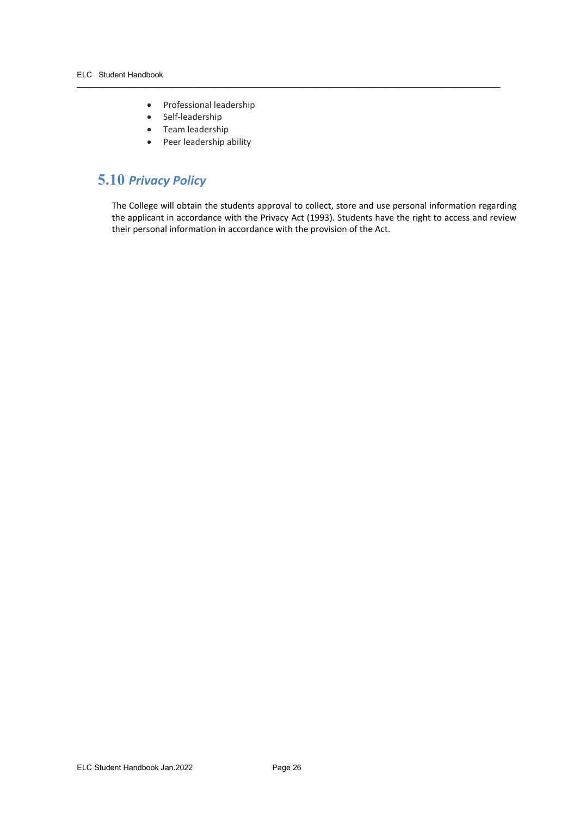- Professional leadership
- Self-leadership
- Team leadership
- Peer leadership ability

## <span id="page-25-0"></span>**5.10** *Privacy Policy*

The College will obtain the students approval to collect, store and use personal information regarding the applicant in accordance with the Privacy Act (1993). Students have the right to access and review their personal information in accordance with the provision of the Act.

 $\overline{\phantom{a}}$  ,  $\overline{\phantom{a}}$  ,  $\overline{\phantom{a}}$  ,  $\overline{\phantom{a}}$  ,  $\overline{\phantom{a}}$  ,  $\overline{\phantom{a}}$  ,  $\overline{\phantom{a}}$  ,  $\overline{\phantom{a}}$  ,  $\overline{\phantom{a}}$  ,  $\overline{\phantom{a}}$  ,  $\overline{\phantom{a}}$  ,  $\overline{\phantom{a}}$  ,  $\overline{\phantom{a}}$  ,  $\overline{\phantom{a}}$  ,  $\overline{\phantom{a}}$  ,  $\overline{\phantom{a}}$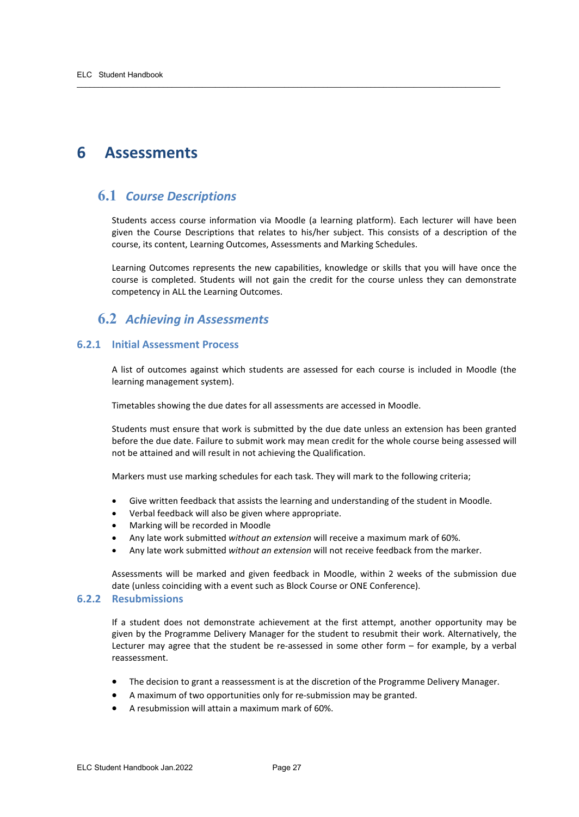## <span id="page-26-0"></span>**6 Assessments**

## <span id="page-26-1"></span>**6.1** *Course Descriptions*

Students access course information via Moodle (a learning platform). Each lecturer will have been given the Course Descriptions that relates to his/her subject. This consists of a description of the course, its content, Learning Outcomes, Assessments and Marking Schedules.

 $\overline{\phantom{a}}$  ,  $\overline{\phantom{a}}$  ,  $\overline{\phantom{a}}$  ,  $\overline{\phantom{a}}$  ,  $\overline{\phantom{a}}$  ,  $\overline{\phantom{a}}$  ,  $\overline{\phantom{a}}$  ,  $\overline{\phantom{a}}$  ,  $\overline{\phantom{a}}$  ,  $\overline{\phantom{a}}$  ,  $\overline{\phantom{a}}$  ,  $\overline{\phantom{a}}$  ,  $\overline{\phantom{a}}$  ,  $\overline{\phantom{a}}$  ,  $\overline{\phantom{a}}$  ,  $\overline{\phantom{a}}$ 

Learning Outcomes represents the new capabilities, knowledge or skills that you will have once the course is completed. Students will not gain the credit for the course unless they can demonstrate competency in ALL the Learning Outcomes.

## <span id="page-26-2"></span>**6.2** *Achieving in Assessments*

#### <span id="page-26-3"></span>**6.2.1 Initial Assessment Process**

A list of outcomes against which students are assessed for each course is included in Moodle (the learning management system).

Timetables showing the due dates for all assessments are accessed in Moodle.

Students must ensure that work is submitted by the due date unless an extension has been granted before the due date. Failure to submit work may mean credit for the whole course being assessed will not be attained and will result in not achieving the Qualification.

Markers must use marking schedules for each task. They will mark to the following criteria;

- Give written feedback that assists the learning and understanding of the student in Moodle.
- Verbal feedback will also be given where appropriate.
- Marking will be recorded in Moodle
- Any late work submitted *without an extension* will receive a maximum mark of 60%.
- Any late work submitted *without an extension* will not receive feedback from the marker.

Assessments will be marked and given feedback in Moodle, within 2 weeks of the submission due date (unless coinciding with a event such as Block Course or ONE Conference).

#### <span id="page-26-4"></span>**6.2.2 Resubmissions**

If a student does not demonstrate achievement at the first attempt, another opportunity may be given by the Programme Delivery Manager for the student to resubmit their work. Alternatively, the Lecturer may agree that the student be re-assessed in some other form – for example, by a verbal reassessment.

- The decision to grant a reassessment is at the discretion of the Programme Delivery Manager.
- A maximum of two opportunities only for re-submission may be granted.
- A resubmission will attain a maximum mark of 60%.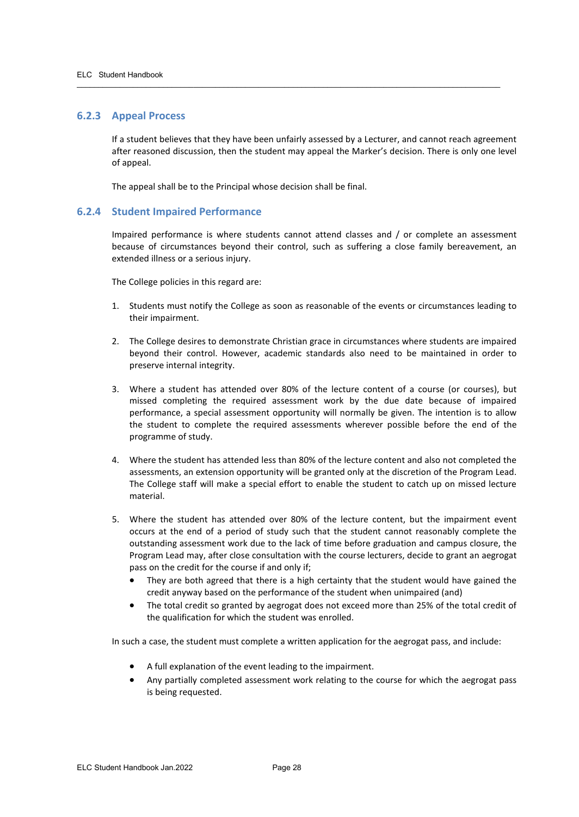#### <span id="page-27-0"></span>**6.2.3 Appeal Process**

If a student believes that they have been unfairly assessed by a Lecturer, and cannot reach agreement after reasoned discussion, then the student may appeal the Marker's decision. There is only one level of appeal.

 $\overline{\phantom{a}}$  ,  $\overline{\phantom{a}}$  ,  $\overline{\phantom{a}}$  ,  $\overline{\phantom{a}}$  ,  $\overline{\phantom{a}}$  ,  $\overline{\phantom{a}}$  ,  $\overline{\phantom{a}}$  ,  $\overline{\phantom{a}}$  ,  $\overline{\phantom{a}}$  ,  $\overline{\phantom{a}}$  ,  $\overline{\phantom{a}}$  ,  $\overline{\phantom{a}}$  ,  $\overline{\phantom{a}}$  ,  $\overline{\phantom{a}}$  ,  $\overline{\phantom{a}}$  ,  $\overline{\phantom{a}}$ 

The appeal shall be to the Principal whose decision shall be final.

#### <span id="page-27-1"></span>**6.2.4 Student Impaired Performance**

Impaired performance is where students cannot attend classes and / or complete an assessment because of circumstances beyond their control, such as suffering a close family bereavement, an extended illness or a serious injury.

The College policies in this regard are:

- 1. Students must notify the College as soon as reasonable of the events or circumstances leading to their impairment.
- 2. The College desires to demonstrate Christian grace in circumstances where students are impaired beyond their control. However, academic standards also need to be maintained in order to preserve internal integrity.
- 3. Where a student has attended over 80% of the lecture content of a course (or courses), but missed completing the required assessment work by the due date because of impaired performance, a special assessment opportunity will normally be given. The intention is to allow the student to complete the required assessments wherever possible before the end of the programme of study.
- 4. Where the student has attended less than 80% of the lecture content and also not completed the assessments, an extension opportunity will be granted only at the discretion of the Program Lead. The College staff will make a special effort to enable the student to catch up on missed lecture material.
- 5. Where the student has attended over 80% of the lecture content, but the impairment event occurs at the end of a period of study such that the student cannot reasonably complete the outstanding assessment work due to the lack of time before graduation and campus closure, the Program Lead may, after close consultation with the course lecturers, decide to grant an aegrogat pass on the credit for the course if and only if;
	- They are both agreed that there is a high certainty that the student would have gained the credit anyway based on the performance of the student when unimpaired (and)
	- The total credit so granted by aegrogat does not exceed more than 25% of the total credit of the qualification for which the student was enrolled.

In such a case, the student must complete a written application for the aegrogat pass, and include:

- A full explanation of the event leading to the impairment.
- Any partially completed assessment work relating to the course for which the aegrogat pass is being requested.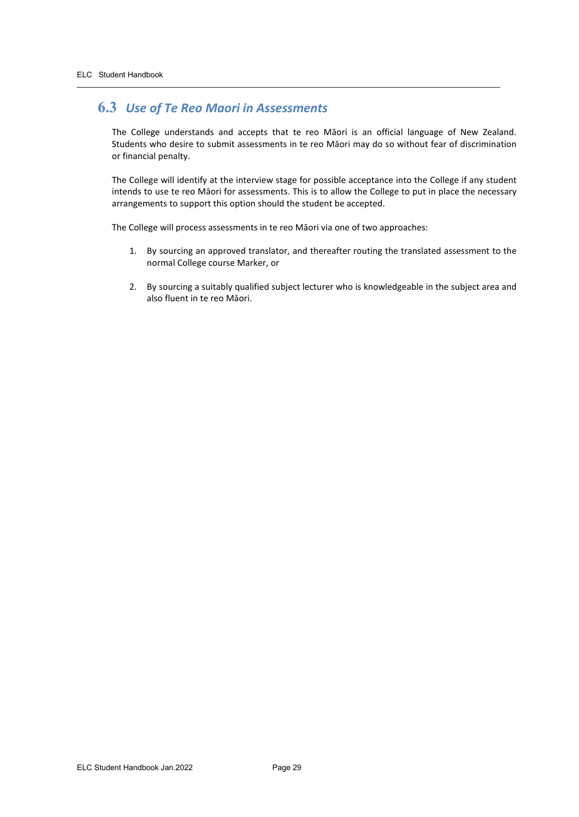## **6.3** *Use of Te Reo Maori in Assessments*

The College understands and accepts that te reo Māori is an official language of New Zealand. Students who desire to submit assessments in te reo Māori may do so without fear of discrimination or financial penalty.

<span id="page-28-0"></span> $\overline{\phantom{a}}$  ,  $\overline{\phantom{a}}$  ,  $\overline{\phantom{a}}$  ,  $\overline{\phantom{a}}$  ,  $\overline{\phantom{a}}$  ,  $\overline{\phantom{a}}$  ,  $\overline{\phantom{a}}$  ,  $\overline{\phantom{a}}$  ,  $\overline{\phantom{a}}$  ,  $\overline{\phantom{a}}$  ,  $\overline{\phantom{a}}$  ,  $\overline{\phantom{a}}$  ,  $\overline{\phantom{a}}$  ,  $\overline{\phantom{a}}$  ,  $\overline{\phantom{a}}$  ,  $\overline{\phantom{a}}$ 

The College will identify at the interview stage for possible acceptance into the College if any student intends to use te reo Māori for assessments. This is to allow the College to put in place the necessary arrangements to support this option should the student be accepted.

The College will process assessments in te reo Māori via one of two approaches:

- 1. By sourcing an approved translator, and thereafter routing the translated assessment to the normal College course Marker, or
- 2. By sourcing a suitably qualified subject lecturer who is knowledgeable in the subject area and also fluent in te reo Māori.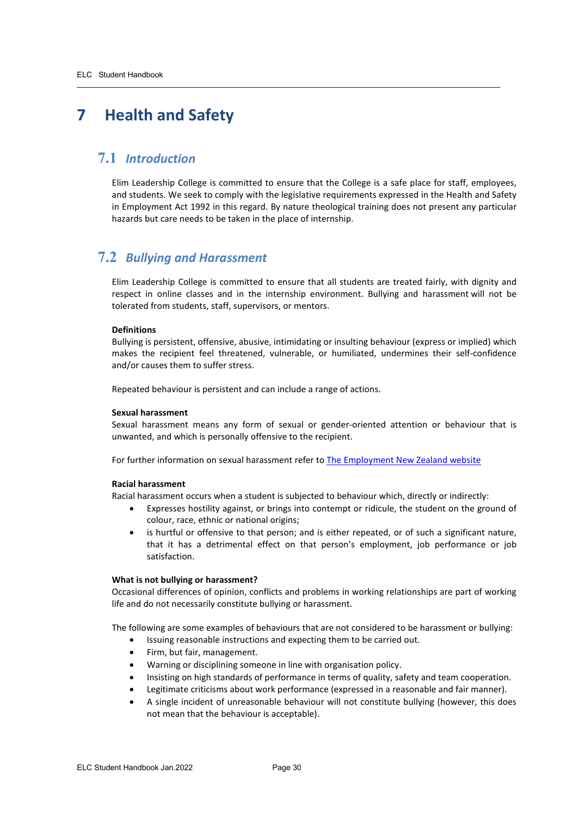## <span id="page-29-0"></span>**7 Health and Safety**

## <span id="page-29-1"></span>**7.1** *Introduction*

Elim Leadership College is committed to ensure that the College is a safe place for staff, employees, and students. We seek to comply with the legislative requirements expressed in the Health and Safety in Employment Act 1992 in this regard. By nature theological training does not present any particular hazards but care needs to be taken in the place of internship.

 $\overline{\phantom{a}}$  ,  $\overline{\phantom{a}}$  ,  $\overline{\phantom{a}}$  ,  $\overline{\phantom{a}}$  ,  $\overline{\phantom{a}}$  ,  $\overline{\phantom{a}}$  ,  $\overline{\phantom{a}}$  ,  $\overline{\phantom{a}}$  ,  $\overline{\phantom{a}}$  ,  $\overline{\phantom{a}}$  ,  $\overline{\phantom{a}}$  ,  $\overline{\phantom{a}}$  ,  $\overline{\phantom{a}}$  ,  $\overline{\phantom{a}}$  ,  $\overline{\phantom{a}}$  ,  $\overline{\phantom{a}}$ 

## <span id="page-29-2"></span>**7.2** *Bullying and Harassment*

Elim Leadership College is committed to ensure that all students are treated fairly, with dignity and respect in online classes and in the internship environment. Bullying and harassment will not be tolerated from students, staff, supervisors, or mentors.

#### **Definitions**

Bullying is persistent, offensive, abusive, intimidating or insulting behaviour (express or implied) which makes the recipient feel threatened, vulnerable, or humiliated, undermines their self-confidence and/or causes them to suffer stress.

Repeated behaviour is persistent and can include a range of actions.

#### **Sexual harassment**

Sexual harassment means any form of sexual or gender-oriented attention or behaviour that is unwanted, and which is personally offensive to the recipient.

For further information on sexual harassment refer to **The Employment New Zealand website** 

#### **Racial harassment**

Racial harassment occurs when a student is subjected to behaviour which, directly or indirectly:

- Expresses hostility against, or brings into contempt or ridicule, the student on the ground of colour, race, ethnic or national origins;
- is hurtful or offensive to that person; and is either repeated, or of such a significant nature, that it has a detrimental effect on that person's employment, job performance or job satisfaction.

#### **What is not bullying or harassment?**

Occasional differences of opinion, conflicts and problems in working relationships are part of working life and do not necessarily constitute bullying or harassment.

The following are some examples of behaviours that are not considered to be harassment or bullying:

- Issuing reasonable instructions and expecting them to be carried out.
- Firm, but fair, management.
- Warning or disciplining someone in line with organisation policy.
- Insisting on high standards of performance in terms of quality, safety and team cooperation.
- Legitimate criticisms about work performance (expressed in a reasonable and fair manner).
- A single incident of unreasonable behaviour will not constitute bullying (however, this does not mean that the behaviour is acceptable).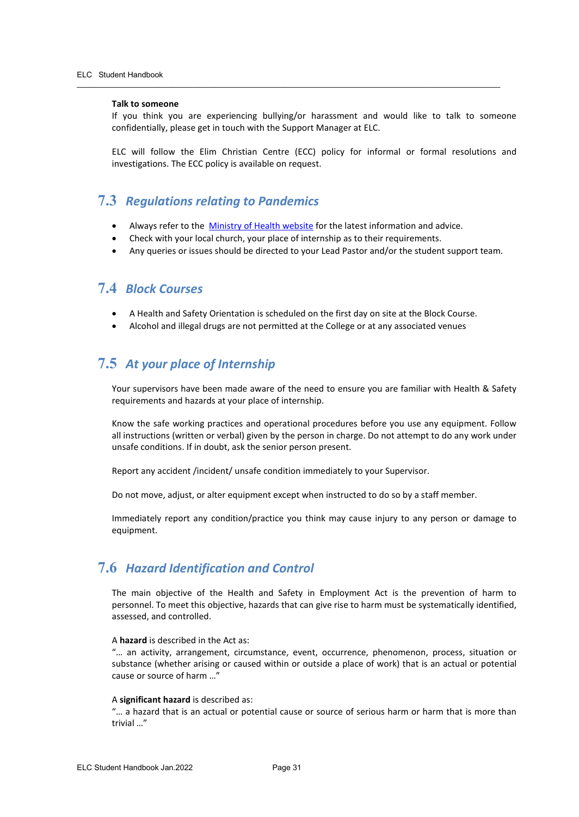#### **Talk to someone**

If you think you are experiencing bullying/or harassment and would like to talk to someone confidentially, please get in touch with the Support Manager at ELC.

ELC will follow the Elim Christian Centre (ECC) policy for informal or formal resolutions and investigations. The ECC policy is available on request.

## <span id="page-30-0"></span>**7.3** *Regulations relating to Pandemics*

• Always refer to the [Ministry of Health website](https://www.health.govt.nz/our-work/diseases-and-conditions/covid-19-novel-coronavirus/covid-19-health-advice-public) for the latest information and advice.

 $\overline{\phantom{a}}$  ,  $\overline{\phantom{a}}$  ,  $\overline{\phantom{a}}$  ,  $\overline{\phantom{a}}$  ,  $\overline{\phantom{a}}$  ,  $\overline{\phantom{a}}$  ,  $\overline{\phantom{a}}$  ,  $\overline{\phantom{a}}$  ,  $\overline{\phantom{a}}$  ,  $\overline{\phantom{a}}$  ,  $\overline{\phantom{a}}$  ,  $\overline{\phantom{a}}$  ,  $\overline{\phantom{a}}$  ,  $\overline{\phantom{a}}$  ,  $\overline{\phantom{a}}$  ,  $\overline{\phantom{a}}$ 

- Check with your local church, your place of internship as to their requirements.
- Any queries or issues should be directed to your Lead Pastor and/or the student support team.

## <span id="page-30-1"></span>**7.4** *Block Courses*

- A Health and Safety Orientation is scheduled on the first day on site at the Block Course.
- Alcohol and illegal drugs are not permitted at the College or at any associated venues

## <span id="page-30-2"></span>**7.5** *At your place of Internship*

Your supervisors have been made aware of the need to ensure you are familiar with Health & Safety requirements and hazards at your place of internship.

Know the safe working practices and operational procedures before you use any equipment. Follow all instructions (written or verbal) given by the person in charge. Do not attempt to do any work under unsafe conditions. If in doubt, ask the senior person present.

Report any accident /incident/ unsafe condition immediately to your Supervisor.

Do not move, adjust, or alter equipment except when instructed to do so by a staff member.

Immediately report any condition/practice you think may cause injury to any person or damage to equipment.

### <span id="page-30-3"></span>**7.6** *Hazard Identification and Control*

The main objective of the Health and Safety in Employment Act is the prevention of harm to personnel. To meet this objective, hazards that can give rise to harm must be systematically identified, assessed, and controlled.

#### A **hazard** is described in the Act as:

"… an activity, arrangement, circumstance, event, occurrence, phenomenon, process, situation or substance (whether arising or caused within or outside a place of work) that is an actual or potential cause or source of harm …"

#### A **significant hazard** is described as:

"… a hazard that is an actual or potential cause or source of serious harm or harm that is more than trivial …"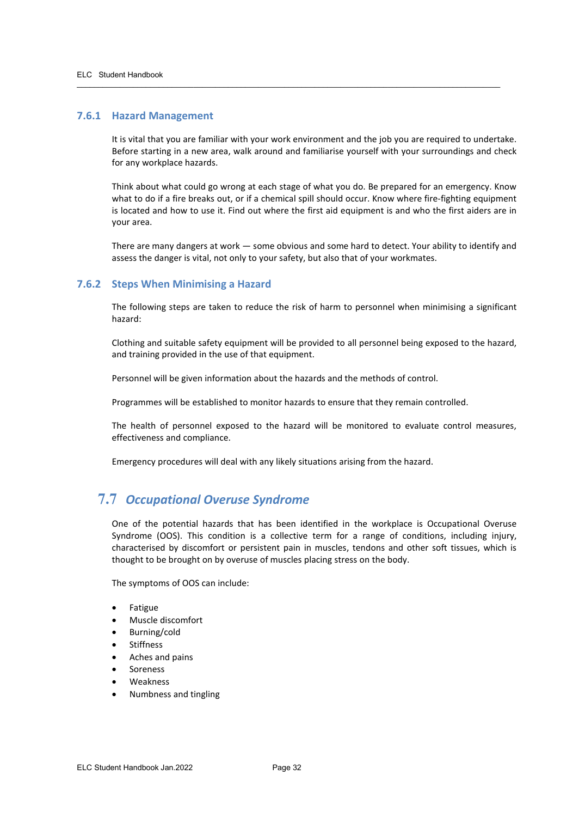#### <span id="page-31-0"></span>**7.6.1 Hazard Management**

It is vital that you are familiar with your work environment and the job you are required to undertake. Before starting in a new area, walk around and familiarise yourself with your surroundings and check for any workplace hazards.

 $\overline{\phantom{a}}$  ,  $\overline{\phantom{a}}$  ,  $\overline{\phantom{a}}$  ,  $\overline{\phantom{a}}$  ,  $\overline{\phantom{a}}$  ,  $\overline{\phantom{a}}$  ,  $\overline{\phantom{a}}$  ,  $\overline{\phantom{a}}$  ,  $\overline{\phantom{a}}$  ,  $\overline{\phantom{a}}$  ,  $\overline{\phantom{a}}$  ,  $\overline{\phantom{a}}$  ,  $\overline{\phantom{a}}$  ,  $\overline{\phantom{a}}$  ,  $\overline{\phantom{a}}$  ,  $\overline{\phantom{a}}$ 

Think about what could go wrong at each stage of what you do. Be prepared for an emergency. Know what to do if a fire breaks out, or if a chemical spill should occur. Know where fire-fighting equipment is located and how to use it. Find out where the first aid equipment is and who the first aiders are in your area.

There are many dangers at work — some obvious and some hard to detect. Your ability to identify and assess the danger is vital, not only to your safety, but also that of your workmates.

#### <span id="page-31-1"></span>**7.6.2 Steps When Minimising a Hazard**

The following steps are taken to reduce the risk of harm to personnel when minimising a significant hazard:

Clothing and suitable safety equipment will be provided to all personnel being exposed to the hazard, and training provided in the use of that equipment.

Personnel will be given information about the hazards and the methods of control.

Programmes will be established to monitor hazards to ensure that they remain controlled.

The health of personnel exposed to the hazard will be monitored to evaluate control measures, effectiveness and compliance.

Emergency procedures will deal with any likely situations arising from the hazard.

## <span id="page-31-2"></span>**7.7** *Occupational Overuse Syndrome*

One of the potential hazards that has been identified in the workplace is Occupational Overuse Syndrome (OOS). This condition is a collective term for a range of conditions, including injury, characterised by discomfort or persistent pain in muscles, tendons and other soft tissues, which is thought to be brought on by overuse of muscles placing stress on the body.

The symptoms of OOS can include:

- **Fatigue**
- Muscle discomfort
- Burning/cold
- **Stiffness**
- Aches and pains
- **Soreness**
- Weakness
- Numbness and tingling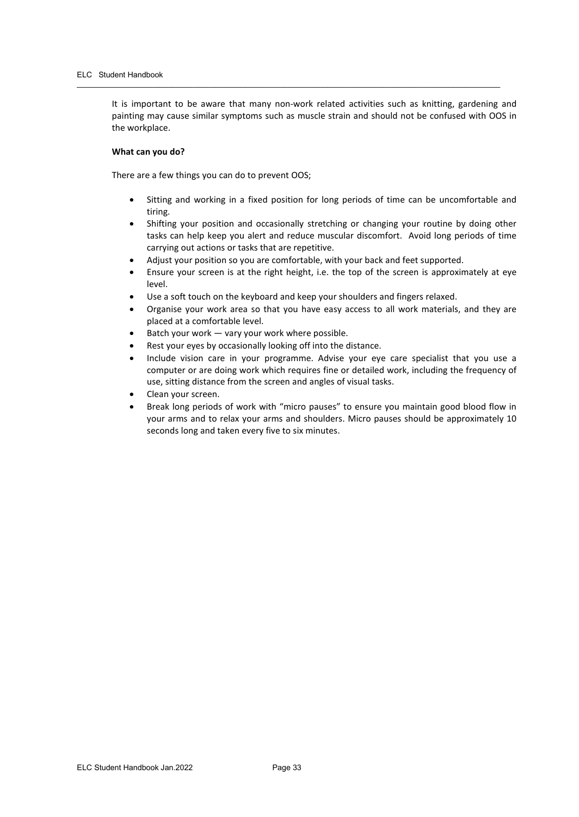It is important to be aware that many non-work related activities such as knitting, gardening and painting may cause similar symptoms such as muscle strain and should not be confused with OOS in the workplace.

 $\overline{\phantom{a}}$  ,  $\overline{\phantom{a}}$  ,  $\overline{\phantom{a}}$  ,  $\overline{\phantom{a}}$  ,  $\overline{\phantom{a}}$  ,  $\overline{\phantom{a}}$  ,  $\overline{\phantom{a}}$  ,  $\overline{\phantom{a}}$  ,  $\overline{\phantom{a}}$  ,  $\overline{\phantom{a}}$  ,  $\overline{\phantom{a}}$  ,  $\overline{\phantom{a}}$  ,  $\overline{\phantom{a}}$  ,  $\overline{\phantom{a}}$  ,  $\overline{\phantom{a}}$  ,  $\overline{\phantom{a}}$ 

#### **What can you do?**

There are a few things you can do to prevent OOS;

- Sitting and working in a fixed position for long periods of time can be uncomfortable and tiring.
- Shifting your position and occasionally stretching or changing your routine by doing other tasks can help keep you alert and reduce muscular discomfort. Avoid long periods of time carrying out actions or tasks that are repetitive.
- Adjust your position so you are comfortable, with your back and feet supported.
- Ensure your screen is at the right height, i.e. the top of the screen is approximately at eye level.
- Use a soft touch on the keyboard and keep your shoulders and fingers relaxed.
- Organise your work area so that you have easy access to all work materials, and they are placed at a comfortable level.
- Batch your work  $-$  vary your work where possible.
- Rest your eyes by occasionally looking off into the distance.
- Include vision care in your programme. Advise your eye care specialist that you use a computer or are doing work which requires fine or detailed work, including the frequency of use, sitting distance from the screen and angles of visual tasks.
- Clean your screen.
- Break long periods of work with "micro pauses" to ensure you maintain good blood flow in your arms and to relax your arms and shoulders. Micro pauses should be approximately 10 seconds long and taken every five to six minutes.